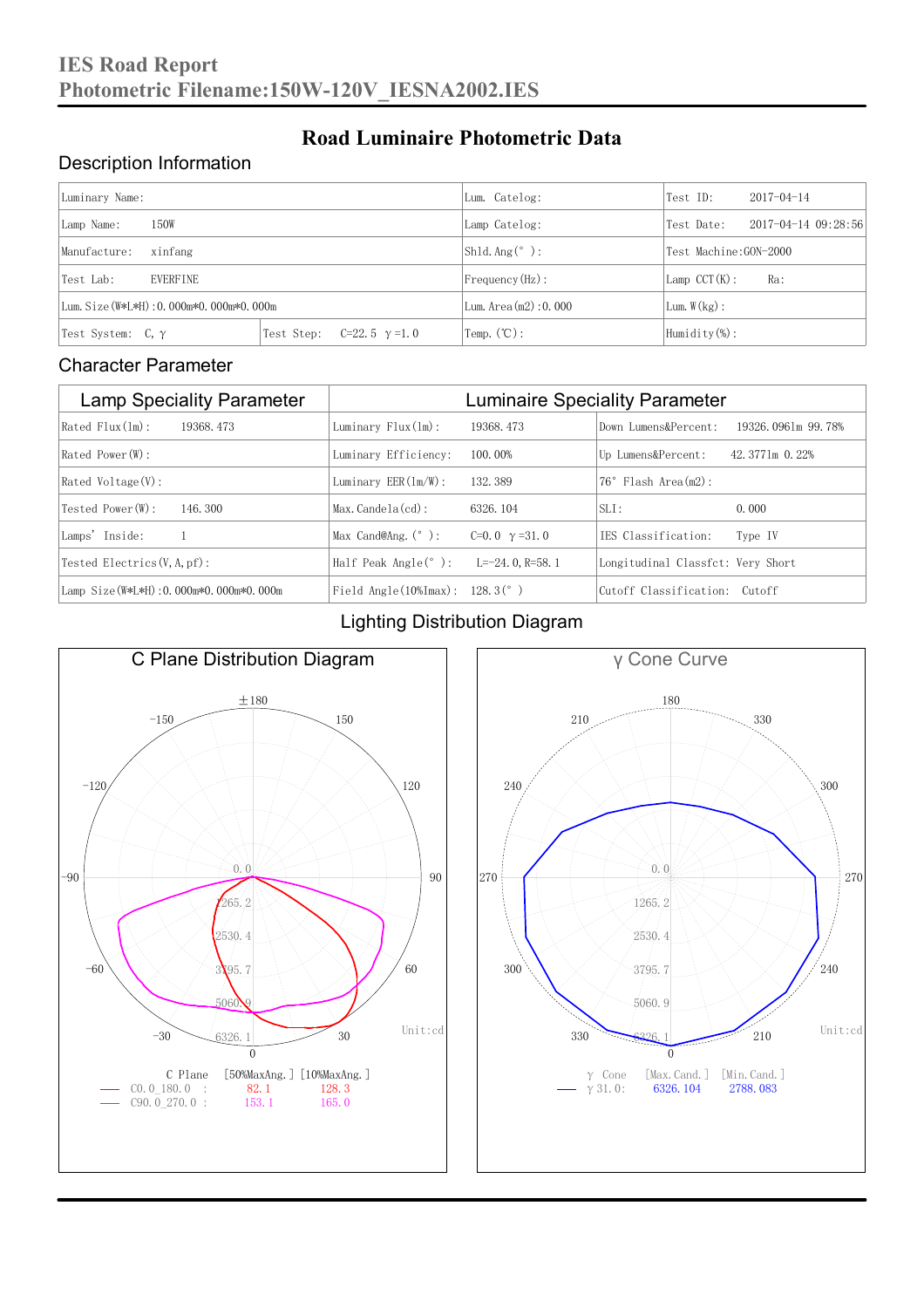### Description Information

| Luminary Name:                          | Lum. Catelog:                       | Test ID:                     | $2017 - 04 - 14$            |     |  |
|-----------------------------------------|-------------------------------------|------------------------------|-----------------------------|-----|--|
| 150W<br>Lamp Name:                      | Lamp Catelog:                       | Test Date:                   | $2017 - 04 - 14$ $09:28:56$ |     |  |
| Manufacture:<br>xinfang                 |                                     | Shld. $Ang (°)$ :            | Test Machine: GON-2000      |     |  |
| <b>EVERFINE</b><br>Test Lab:            |                                     | $Frequency(Hz)$ :            | $Lamp$ CCT(K):              | Ra: |  |
| Lum. Size (W*L*H): 0.000m*0.000m*0.000m |                                     | Lum. Area $(m2)$ : 0.000     | Lum. $W(kg)$ :              |     |  |
| Test System: $C, \gamma$                | Test Step:<br>$C=22.5$ $\gamma=1.0$ | $\text{Temp.} (\text{°C})$ : | Humidity $(\%)$ :           |     |  |

**Road Luminaire Photometric Data**

#### Character Parameter

| <b>Lamp Speciality Parameter</b>       | <b>Luminaire Speciality Parameter</b>                              |                      |                                   |                    |  |
|----------------------------------------|--------------------------------------------------------------------|----------------------|-----------------------------------|--------------------|--|
| Rated Flux(1m):<br>19368, 473          | Luminary $Flux(ln)$ :                                              | 19368, 473           | Down Lumens&Percent:              | 19326.0961m 99.78% |  |
| Rated Power(W):                        | Luminary Efficiency:                                               | 100.00%              | Up Lumens&Percent:                | 42.3771m 0.22%     |  |
| $Rated$ Voltage $(V)$ :                | Luminary $EER(\ln/W)$ :                                            | 132, 389             | $76°$ Flash Area $(m2)$ :         |                    |  |
| Tested Power(W):<br>146, 300           | $Max. Candela(cd)$ :                                               | 6326, 104            | $SLI$ :                           | 0.000              |  |
| Lamps' Inside:                         | Max Cand@Ang. $(°)$ :                                              | C=0.0 $\gamma$ =31.0 | TES Classification:               | Type IV            |  |
| Tested Electrics $(V, A, pf)$ :        | Half Peak Angle $(°)$ :                                            | L=-24.0.R=58.1       | Longitudinal Classfct: Very Short |                    |  |
| Lamp Size(W*L*H): 0.000m*0.000m*0.000m | Field Angle $(10\text{\%} \text{Im} \text{ax})$ : 128.3 $(^\circ)$ |                      | Cutoff Classification: Cutoff     |                    |  |

#### Lighting Distribution Diagram



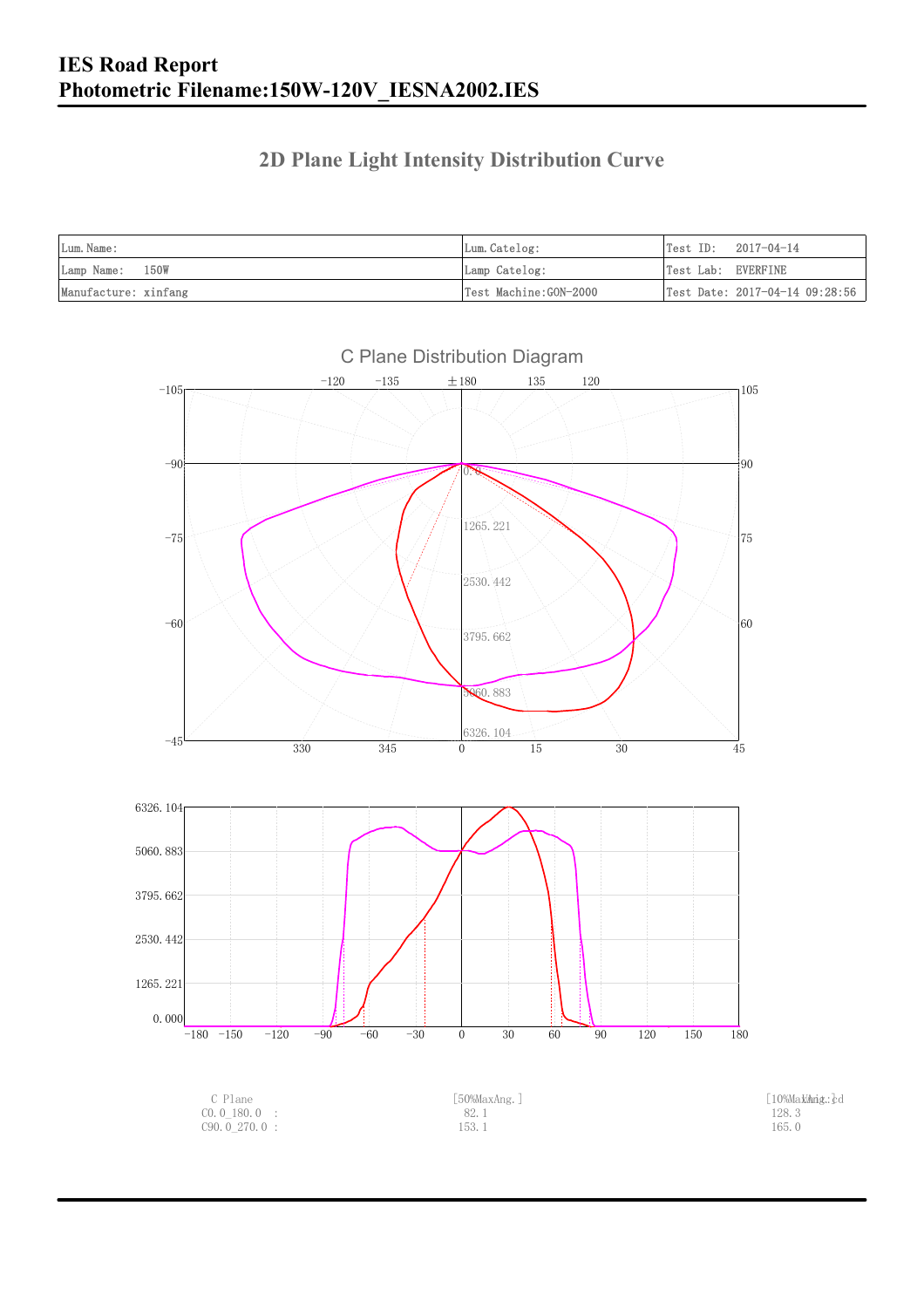### **2D Plane Light Intensity Distribution Curve**

| Lum. Name:           | Lum.Catelog:          | Test ID:<br>2017-04-14         |
|----------------------|-----------------------|--------------------------------|
| Lamp Name: 150W      | Lamp Catelog:         | Test Lab: EVERFINE             |
| Manufacture: xinfang | Test Machine:GON-2000 | Test Date: 2017-04-14 09:28:56 |

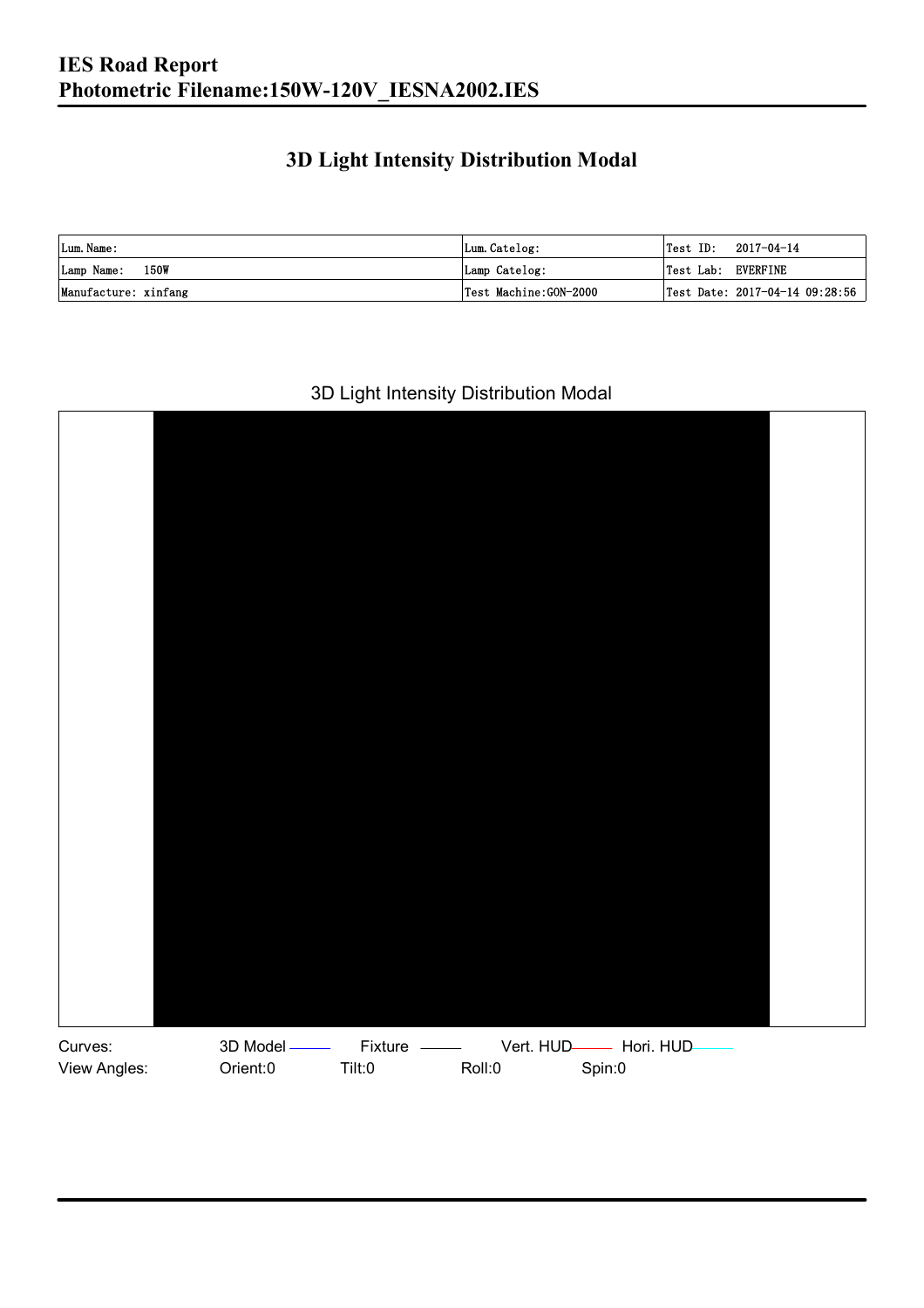### **3D Light Intensity Distribution Modal**

| Lum. Name:           | Lum.Catelog:          | $\textsf{Test ID:} \quad 2017-04-14$ |
|----------------------|-----------------------|--------------------------------------|
| Lamp Name: 150W      | Lamp Catelog:         | Test Lab: EVERFINE                   |
| Manufacture: xinfang | Test Machine:GON-2000 | Test Date: 2017-04-14 09:28:56       |

#### 3D Light Intensity Distribution Modal

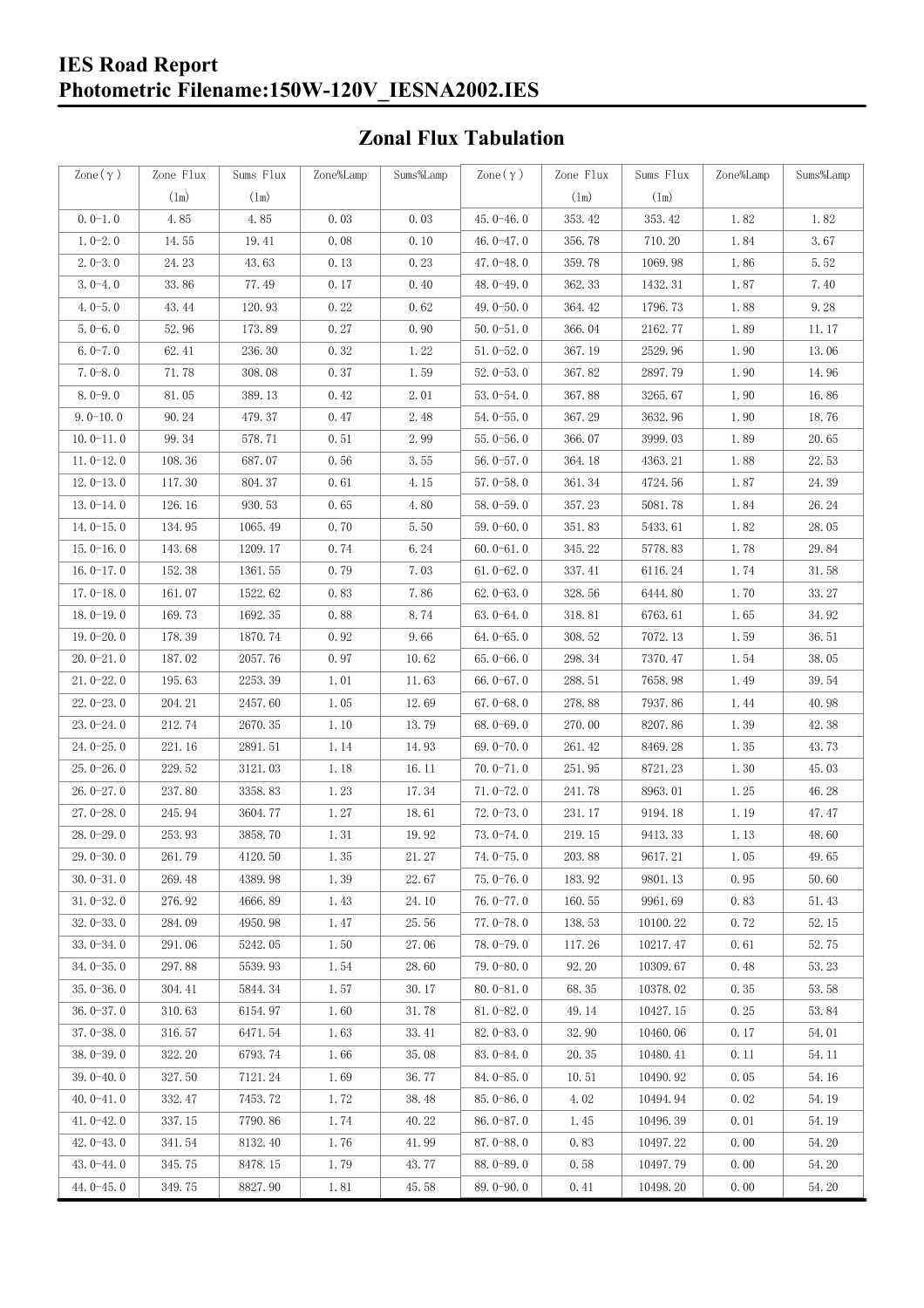#### **IES Road Report Photometric Filename:150W-120V\_IESNA2002.IES**

### **Zonal Flux Tabulation**

| Zone $(\gamma)$ | Zone Flux     | Sums Flux | Zone%Lamp | Sums%Lamp | Zone $(\gamma)$ | Zone Flux | Sums Flux | Zone%Lamp            | Sums%Lamp |
|-----------------|---------------|-----------|-----------|-----------|-----------------|-----------|-----------|----------------------|-----------|
|                 | $(\text{lm})$ | (1m)      |           |           |                 | (1m)      | (1m)      |                      |           |
| $0.0-1.0$       | 4.85          | 4.85      | 0.03      | 0.03      | $45.0 - 46.0$   | 353.42    | 353.42    | 1.82                 | 1.82      |
| $1.0 - 2.0$     | 14.55         | 19.41     | 0.08      | 0.10      | 46.0-47.0       | 356.78    | 710.20    | 1.84                 | 3.67      |
| $2.0 - 3.0$     | 24.23         | 43.63     | 0.13      | 0.23      | 47.0-48.0       | 359.78    | 1069.98   | 1.86                 | 5.52      |
| $3.0 - 4.0$     | 33.86         | 77.49     | 0.17      | 0.40      | 48.0-49.0       | 362.33    | 1432.31   | 1.87                 | 7.40      |
| $4.0 - 5.0$     | 43.44         | 120.93    | 0.22      | 0.62      | 49.0 $-50.0$    | 364.42    | 1796.73   | 1.88                 | 9.28      |
| $5.0 - 6.0$     | 52.96         | 173.89    | 0.27      | 0.90      | $50.0 - 51.0$   | 366.04    | 2162.77   | 1.89                 | 11.17     |
| $6.0 - 7.0$     | 62.41         | 236.30    | 0.32      | 1.22      | $51.0 - 52.0$   | 367.19    | 2529.96   | 1.90                 | 13.06     |
| $7.0 - 8.0$     | 71.78         | 308.08    | 0.37      | 1.59      | $52.0 - 53.0$   | 367.82    | 2897.79   | 1.90                 | 14.96     |
| $8.0 - 9.0$     | 81.05         | 389.13    | 0.42      | 2.01      | $53.0 - 54.0$   | 367.88    | 3265.67   | 1.90                 | 16.86     |
| $9.0 - 10.0$    | 90.24         | 479.37    | 0.47      | 2.48      | $54.0 - 55.0$   | 367.29    | 3632.96   | 1.90                 | 18.76     |
| $10.0 - 11.0$   | 99.34         | 578.71    | 0.51      | 2.99      | $55.0 - 56.0$   | 366.07    | 3999.03   | 1.89                 | 20.65     |
| $11.0 - 12.0$   | 108.36        | 687.07    | 0.56      | 3.55      | $56.0 - 57.0$   | 364.18    | 4363.21   | 1.88                 | 22.53     |
| $12.0 - 13.0$   | 117.30        | 804.37    | 0.61      | 4.15      | $57.0 - 58.0$   | 361.34    | 4724.56   | 1.87                 | 24.39     |
| $13.0 - 14.0$   | 126.16        | 930.53    | 0.65      | 4.80      | $58.0 - 59.0$   | 357.23    | 5081.78   | 1.84                 | 26.24     |
| $14.0 - 15.0$   | 134.95        | 1065.49   | 0.70      | 5.50      | $59.0 - 60.0$   | 351.83    | 5433.61   | 1.82                 | 28.05     |
| $15.0 - 16.0$   | 143.68        | 1209.17   | 0.74      | 6.24      | $60.0 - 61.0$   | 345.22    | 5778.83   | 1.78                 | 29.84     |
| $16.0 - 17.0$   | 152.38        | 1361.55   | 0.79      | 7.03      | $61.0 - 62.0$   | 337.41    | 6116.24   | 1.74                 | 31.58     |
| $17.0 - 18.0$   | 161.07        | 1522.62   | 0.83      | 7.86      | $62.0 - 63.0$   | 328.56    | 6444.80   | 1.70                 | 33.27     |
| $18.0 - 19.0$   | 169.73        | 1692.35   | 0.88      | 8.74      | $63.0 - 64.0$   | 318.81    | 6763.61   | 1.65                 | 34.92     |
| $19.0 - 20.0$   | 178.39        | 1870.74   | 0.92      | 9.66      | $64.0 - 65.0$   | 308.52    | 7072.13   | 1.59                 | 36.51     |
| $20.0 - 21.0$   | 187.02        | 2057.76   | 0.97      | 10.62     | $65.0 - 66.0$   | 298.34    | 7370.47   | 1.54                 | 38.05     |
| $21.0 - 22.0$   | 195.63        | 2253.39   | 1.01      | 11.63     | $66.0 - 67.0$   | 288.51    | 7658.98   | 1.49                 | 39.54     |
| $22.0 - 23.0$   | 204.21        | 2457.60   | 1.05      | 12.69     | $67.0 - 68.0$   | 278.88    | 7937.86   | 1.44                 | 40.98     |
| $23.0 - 24.0$   | 212.74        | 2670.35   | 1.10      | 13.79     | $68.0 - 69.0$   | 270.00    | 8207.86   | 1.39                 | 42.38     |
| $24.0 - 25.0$   | 221.16        | 2891.51   | 1.14      | 14.93     | 69.0-70.0       | 261.42    | 8469.28   | 1.35                 | 43.73     |
| $25.0 - 26.0$   | 229.52        | 3121.03   | 1.18      | 16.11     | $70.0 - 71.0$   | 251.95    | 8721.23   | 1.30                 | 45.03     |
| $26.0 - 27.0$   | 237.80        | 3358.83   | 1.23      | 17.34     | $71.0 - 72.0$   | 241.78    | 8963.01   | 1.25                 | 46.28     |
| $27.0 - 28.0$   | 245.94        | 3604.77   | 1.27      | 18.61     | $72.0 - 73.0$   | 231.17    | 9194.18   | 1.19                 | 47.47     |
| $28.0 - 29.0$   | 253.93        | 3858.70   | 1.31      | 19.92     | $73.0 - 74.0$   | 219.15    | 9413.33   | 1.13                 | 48.60     |
| 29.0-30.0       | 261.79        | 4120.50   | 1.35      | 21.27     | 74.0-75.0       | 203.88    | 9617.21   | $1.\,\allowbreak 05$ | 49.65     |
| $30.0 - 31.0$   | 269.48        | 4389.98   | 1.39      | 22.67     | $75.0 - 76.0$   | 183.92    | 9801.13   | 0.95                 | 50.60     |
| $31.0 - 32.0$   | 276.92        | 4666.89   | 1.43      | 24.10     | 76.0-77.0       | 160.55    | 9961.69   | 0.83                 | 51.43     |
| $32.0 - 33.0$   | 284.09        | 4950.98   | 1.47      | 25.56     | $77.0 - 78.0$   | 138.53    | 10100.22  | 0.72                 | 52.15     |
| $33.0 - 34.0$   | 291.06        | 5242.05   | 1.50      | 27.06     | 78.0-79.0       | 117.26    | 10217.47  | 0.61                 | 52.75     |
| $34.0 - 35.0$   | 297.88        | 5539.93   | 1.54      | 28.60     | $79.0 - 80.0$   | 92.20     | 10309.67  | 0.48                 | 53.23     |
| $35.0 - 36.0$   | 304.41        | 5844.34   | 1.57      | 30.17     | $80.0 - 81.0$   | 68.35     | 10378.02  | 0.35                 | 53.58     |
| $36.0 - 37.0$   | 310.63        | 6154.97   | 1.60      | 31.78     | $81.0 - 82.0$   | 49.14     | 10427.15  | 0.25                 | 53.84     |
| $37.0 - 38.0$   | 316.57        | 6471.54   | 1.63      | 33.41     | $82.0 - 83.0$   | 32.90     | 10460.06  | 0.17                 | 54.01     |
| $38.0 - 39.0$   | 322.20        | 6793.74   | 1.66      | 35.08     | $83.0 - 84.0$   | 20.35     | 10480.41  | 0.11                 | 54.11     |
| $39.0 - 40.0$   | 327.50        | 7121.24   | 1.69      | 36.77     | 84.0-85.0       | 10.51     | 10490.92  | 0.05                 | 54.16     |
| $40.0 - 41.0$   | 332.47        | 7453.72   | 1.72      | 38.48     | 85.0-86.0       | 4.02      | 10494.94  | 0.02                 | 54.19     |
| $41.0 - 42.0$   | 337.15        | 7790.86   | 1.74      | 40.22     | $86.0 - 87.0$   | 1.45      | 10496.39  | 0.01                 | 54.19     |
| $42.0 - 43.0$   | 341.54        | 8132.40   | 1.76      | 41.99     | $87.0 - 88.0$   | 0.83      | 10497.22  | 0.00                 | 54.20     |
| $43.0 - 44.0$   | 345.75        | 8478.15   | 1.79      | 43.77     | 88.0-89.0       | 0.58      | 10497.79  | 0.00                 | 54.20     |
| $44.0 - 45.0$   | 349.75        | 8827.90   | 1.81      | 45.58     | $89.0 - 90.0$   | 0.41      | 10498.20  | 0.00                 | 54.20     |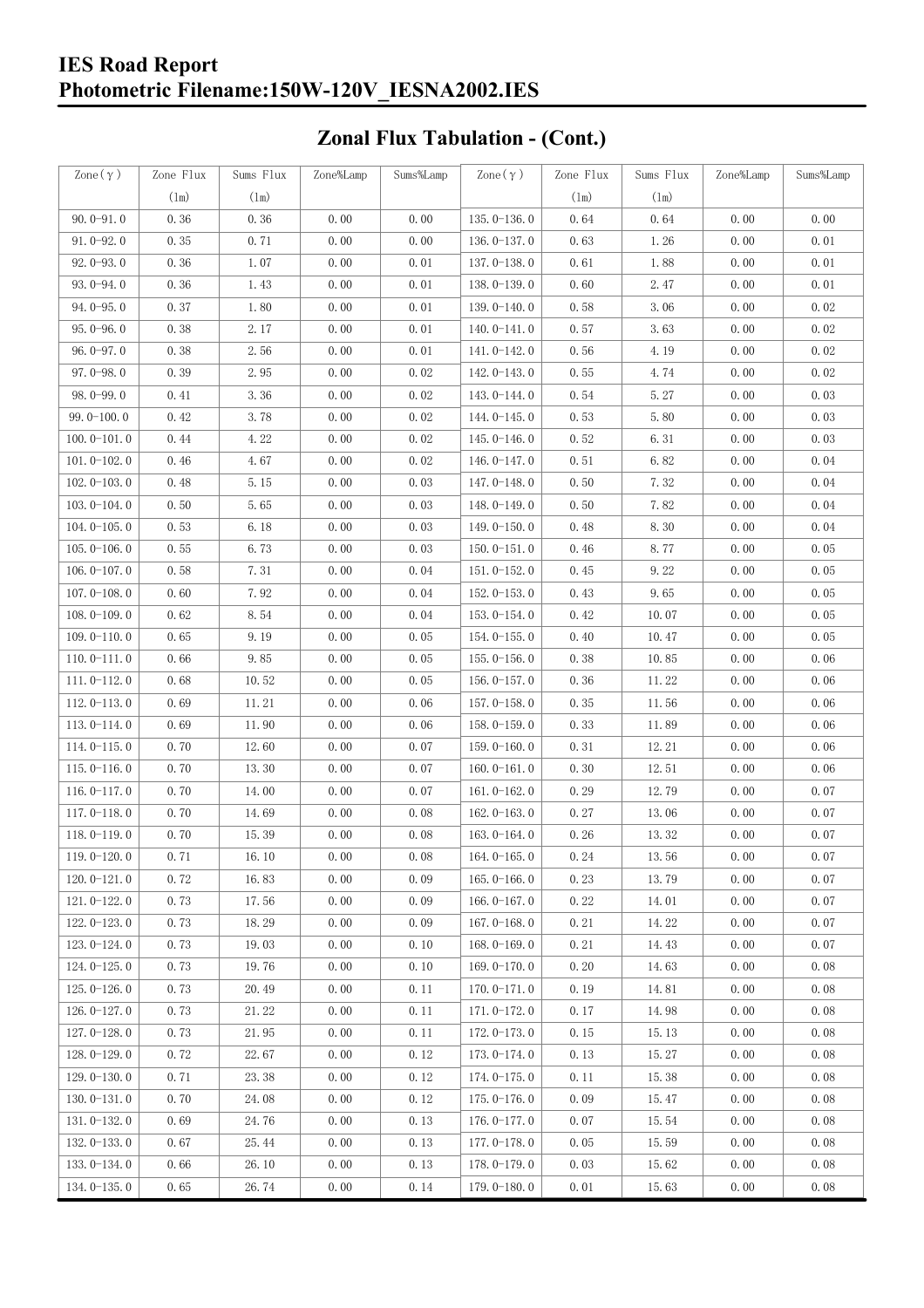#### **IES Road Report Photometric Filename:150W-120V\_IESNA2002.IES**

# **Zonal Flux Tabulation - (Cont.)**

| Zone $(\gamma)$ | Zone Flux | Sums Flux | Zone%Lamp | Sums%Lamp | Zone $(\gamma)$ | Zone Flux | Sums Flux | Zone%Lamp | Sums%Lamp |
|-----------------|-----------|-----------|-----------|-----------|-----------------|-----------|-----------|-----------|-----------|
|                 | (1m)      | (1m)      |           |           |                 | (1m)      | $(\ln)$   |           |           |
| $90.0 - 91.0$   | 0.36      | 0.36      | 0.00      | 0.00      | $135.0 - 136.0$ | 0.64      | 0.64      | 0.00      | 0.00      |
| $91.0 - 92.0$   | 0.35      | 0.71      | 0.00      | 0.00      | 136.0-137.0     | 0.63      | 1.26      | 0.00      | 0.01      |
| $92.0 - 93.0$   | 0.36      | 1.07      | 0.00      | 0.01      | 137.0-138.0     | 0.61      | 1.88      | 0.00      | 0.01      |
| 93.0-94.0       | 0.36      | 1.43      | 0.00      | 0.01      | 138.0-139.0     | 0.60      | 2.47      | 0.00      | 0.01      |
| $94.0 - 95.0$   | 0.37      | 1.80      | 0.00      | 0.01      | 139.0-140.0     | 0.58      | 3.06      | 0.00      | 0.02      |
| $95.0 - 96.0$   | 0.38      | 2.17      | 0.00      | 0.01      | $140.0 - 141.0$ | 0.57      | 3.63      | 0.00      | 0.02      |
| $96.0 - 97.0$   | 0.38      | 2.56      | 0.00      | 0.01      | 141.0-142.0     | 0.56      | 4.19      | 0.00      | 0.02      |
| $97.0 - 98.0$   | 0.39      | 2.95      | 0.00      | 0.02      | 142.0-143.0     | 0.55      | 4.74      | 0.00      | 0.02      |
| 98.0-99.0       | 0.41      | 3.36      | 0.00      | 0.02      | 143.0-144.0     | 0.54      | 5.27      | 0.00      | 0.03      |
| $99.0 - 100.0$  | 0.42      | 3.78      | 0.00      | 0.02      | 144.0-145.0     | 0.53      | 5.80      | 0.00      | 0.03      |
| $100.0 - 101.0$ | 0.44      | 4.22      | 0.00      | 0.02      | $145.0 - 146.0$ | 0.52      | 6.31      | 0.00      | 0.03      |
| $101.0 - 102.0$ | 0.46      | 4.67      | 0.00      | 0.02      | 146.0-147.0     | 0.51      | 6.82      | 0.00      | 0.04      |
| $102.0 - 103.0$ | 0.48      | 5.15      | 0.00      | 0.03      | 147.0-148.0     | 0.50      | 7.32      | 0.00      | 0.04      |
| $103.0 - 104.0$ | 0.50      | 5.65      | 0.00      | 0.03      | 148.0-149.0     | 0.50      | 7.82      | 0.00      | 0.04      |
| $104.0 - 105.0$ | 0.53      | 6.18      | 0.00      | 0.03      | $149.0 - 150.0$ | 0.48      | 8.30      | 0.00      | 0.04      |
| $105.0 - 106.0$ | 0.55      | 6.73      | 0.00      | 0.03      | $150.0 - 151.0$ | 0.46      | 8.77      | 0.00      | 0.05      |
| $106.0 - 107.0$ | 0.58      | 7.31      | 0.00      | 0.04      | $151.0 - 152.0$ | 0.45      | 9.22      | 0.00      | 0.05      |
| $107.0 - 108.0$ | 0.60      | 7.92      | 0.00      | 0.04      | $152.0 - 153.0$ | 0.43      | 9.65      | 0.00      | 0.05      |
| $108.0 - 109.0$ | 0.62      | 8.54      | 0.00      | 0.04      | $153.0 - 154.0$ | 0.42      | 10.07     | 0.00      | 0.05      |
| $109.0 - 110.0$ | 0.65      | 9.19      | 0.00      | 0.05      | 154.0-155.0     | 0.40      | 10.47     | 0.00      | 0.05      |
| $110.0 - 111.0$ | 0.66      | 9.85      | 0.00      | 0.05      | $155.0 - 156.0$ | 0.38      | 10.85     | 0.00      | 0.06      |
| $111.0 - 112.0$ | 0.68      | 10.52     | 0.00      | 0.05      | $156.0 - 157.0$ | 0.36      | 11.22     | 0.00      | 0.06      |
| $112.0 - 113.0$ | 0.69      | 11.21     | 0.00      | 0.06      | 157.0-158.0     | 0.35      | 11.56     | 0.00      | 0.06      |
| $113.0 - 114.0$ | 0.69      | 11.90     | 0.00      | 0.06      | 158.0-159.0     | 0.33      | 11.89     | 0.00      | 0.06      |
| $114.0 - 115.0$ | 0.70      | 12.60     | 0.00      | 0.07      | $159.0 - 160.0$ | 0.31      | 12.21     | 0.00      | 0.06      |
| $115.0 - 116.0$ | 0.70      | 13.30     | 0.00      | 0.07      | $160.0 - 161.0$ | 0.30      | 12.51     | 0.00      | 0.06      |
| $116.0 - 117.0$ | 0.70      | 14.00     | 0.00      | 0.07      | $161.0 - 162.0$ | 0.29      | 12.79     | 0.00      | 0.07      |
| $117.0 - 118.0$ | 0.70      | 14.69     | 0.00      | 0.08      | $162.0 - 163.0$ | 0.27      | 13.06     | 0.00      | 0.07      |
| $118.0 - 119.0$ | 0.70      | 15.39     | 0.00      | 0.08      | $163.0 - 164.0$ | 0.26      | 13.32     | 0.00      | 0.07      |
| 119.0-120.0     | 0.71      | 16.10     | 0.00      | 0.08      | 164.0-165.0     | 0.24      | 13.56     | 0.00      | 0.07      |
| $120.0 - 121.0$ | 0.72      | 16.83     | 0.00      | 0.09      | $165.0 - 166.0$ | 0.23      | 13.79     | 0.00      | 0.07      |
| $121.0 - 122.0$ | 0.73      | 17.56     | 0.00      | 0.09      | $166.0 - 167.0$ | 0.22      | 14.01     | 0.00      | 0.07      |
| $122.0 - 123.0$ | 0.73      | 18.29     | 0.00      | 0.09      | $167.0 - 168.0$ | 0.21      | 14.22     | 0.00      | 0.07      |
| $123.0 - 124.0$ | 0.73      | 19.03     | 0.00      | 0.10      | $168.0 - 169.0$ | 0.21      | 14.43     | 0.00      | 0.07      |
| $124.0 - 125.0$ | 0.73      | 19.76     | 0.00      | 0.10      | $169.0 - 170.0$ | 0.20      | 14.63     | 0.00      | 0.08      |
| $125.0 - 126.0$ | 0.73      | 20.49     | 0.00      | 0.11      | $170.0 - 171.0$ | 0.19      | 14.81     | 0.00      | 0.08      |
| $126.0 - 127.0$ | 0.73      | $21.\,22$ | 0.00      | 0.11      | 171.0-172.0     | 0.17      | 14.98     | 0.00      | 0.08      |
| $127.0 - 128.0$ | 0.73      | 21.95     | 0.00      | 0.11      | 172.0-173.0     | 0.15      | 15.13     | 0.00      | 0.08      |
| $128.0 - 129.0$ | 0.72      | 22.67     | 0.00      | 0.12      | 173.0-174.0     | 0.13      | 15.27     | 0.00      | 0.08      |
| $129.0 - 130.0$ | 0.71      | 23.38     | 0.00      | 0.12      | 174.0-175.0     | 0.11      | 15.38     | 0.00      | 0.08      |
| $130.0 - 131.0$ | 0.70      | 24.08     | 0.00      | 0.12      | $175.0 - 176.0$ | 0.09      | 15.47     | 0.00      | 0.08      |
| $131.0 - 132.0$ | 0.69      | 24.76     | 0.00      | 0.13      | 176.0-177.0     | 0.07      | 15.54     | 0.00      | 0.08      |
| $132.0 - 133.0$ | 0.67      | 25.44     | 0.00      | 0.13      | $177.0 - 178.0$ | 0.05      | 15.59     | 0.00      | 0.08      |
| $133.0 - 134.0$ | 0.66      | 26.10     | 0.00      | 0.13      | 178.0-179.0     | 0.03      | 15.62     | 0.00      | 0.08      |
| $134.0 - 135.0$ | 0.65      | 26.74     | 0.00      | 0.14      | $179.0 - 180.0$ | 0.01      | 15.63     | 0.00      | 0.08      |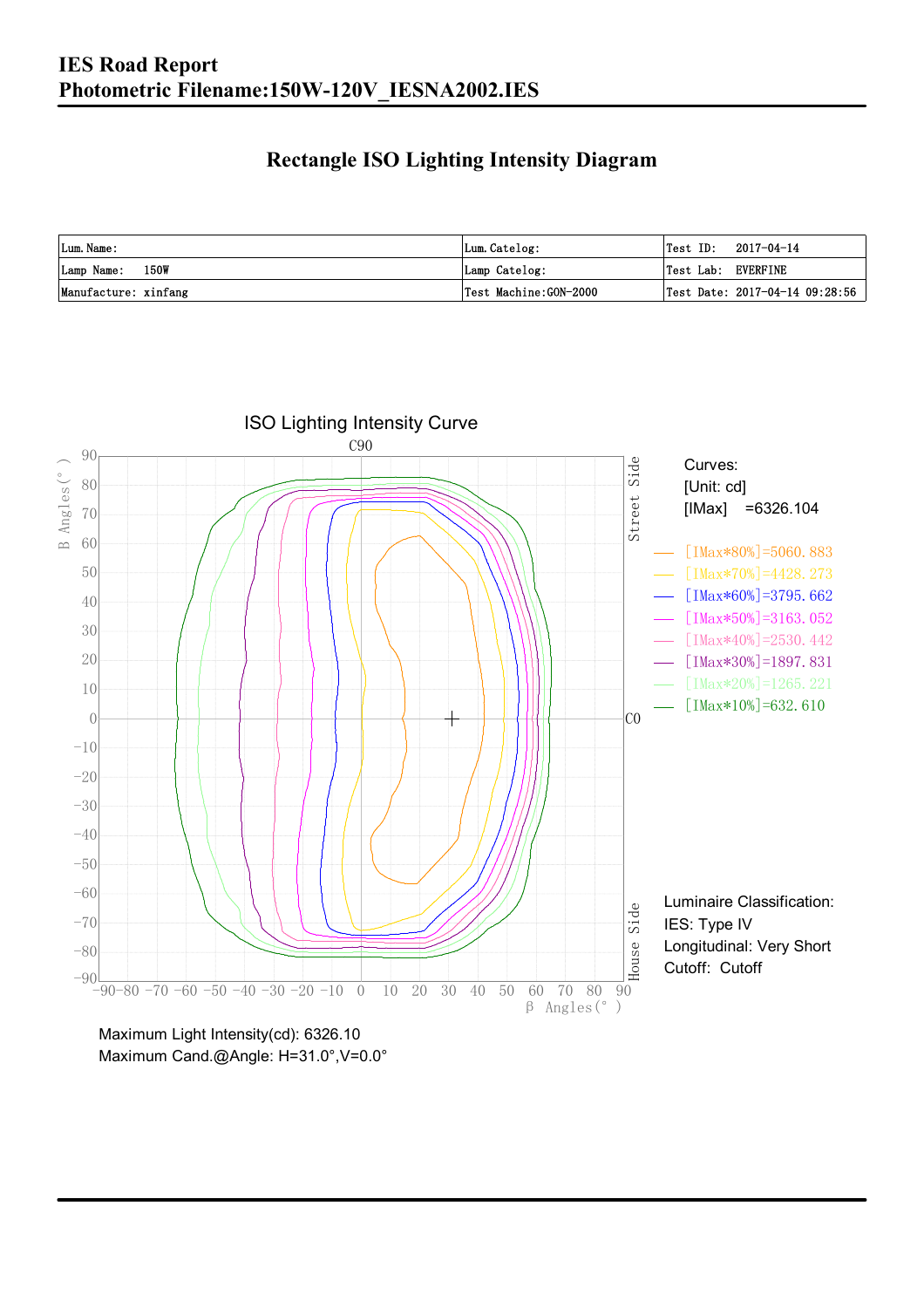### **Rectangle ISO Lighting Intensity Diagram**

| Lum. Name:           | Lum.Catelog:          | $\textsf{Test ID:} \quad 2017-04-14$           |
|----------------------|-----------------------|------------------------------------------------|
| Lamp Name: 150W      | Lamp Catelog:         | Test Lab: EVERFINE                             |
| Manufacture: xinfang | Test Machine:GON-2000 | $\vert$ Test Date: 2017-04-14 09:28:56 $\vert$ |

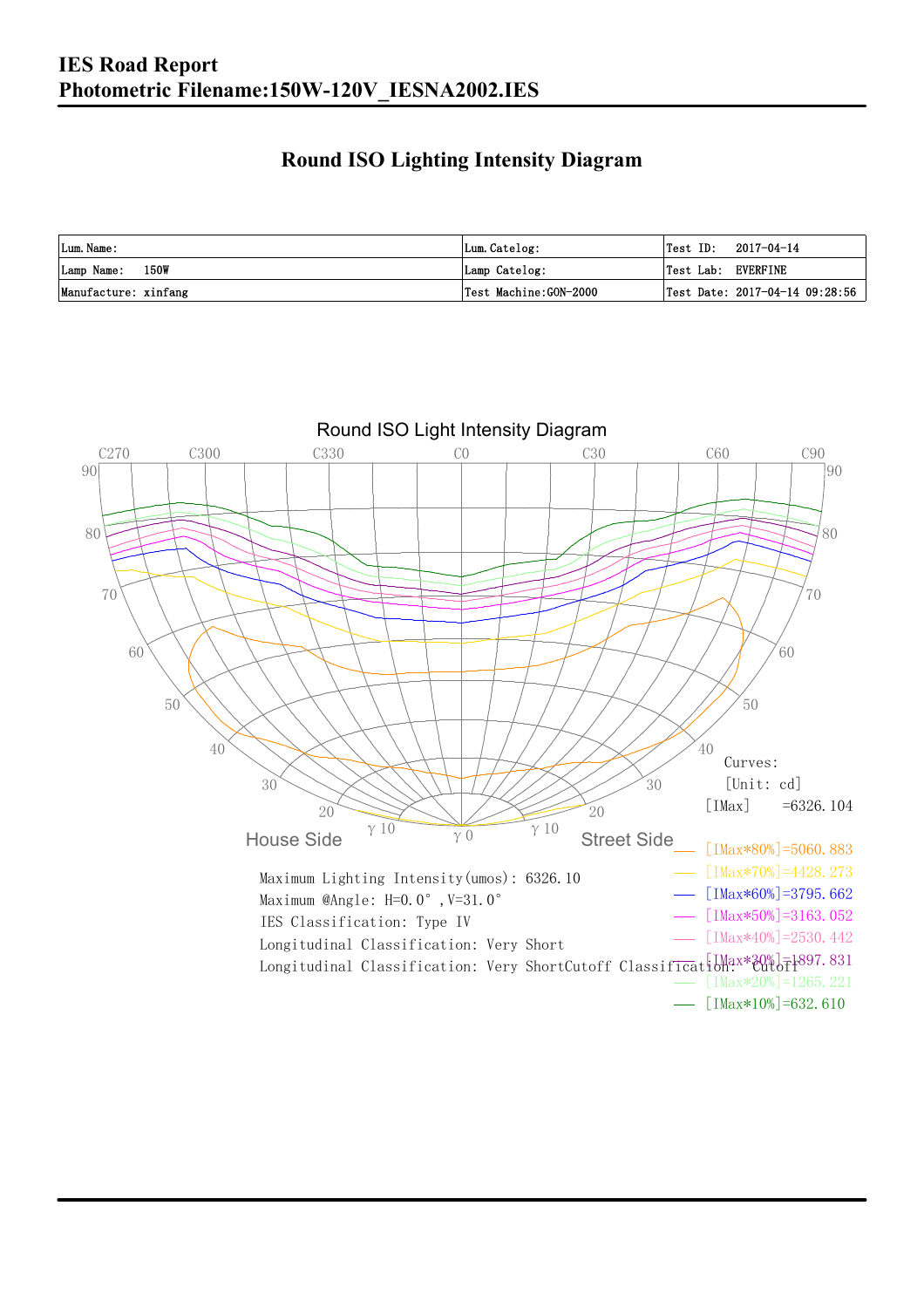### **Round ISO Lighting Intensity Diagram**

| Lum. Name:           | Lum.Catelog:          |                    | $\textsf{Test ID:} \quad 2017-04-14$ |
|----------------------|-----------------------|--------------------|--------------------------------------|
| Lamp Name: 150W      | Lamp Catelog:         | Test Lab: EVERFINE |                                      |
| Manufacture: xinfang | Test Machine:GON-2000 |                    | Test Date: 2017-04-14 09:28:56       |

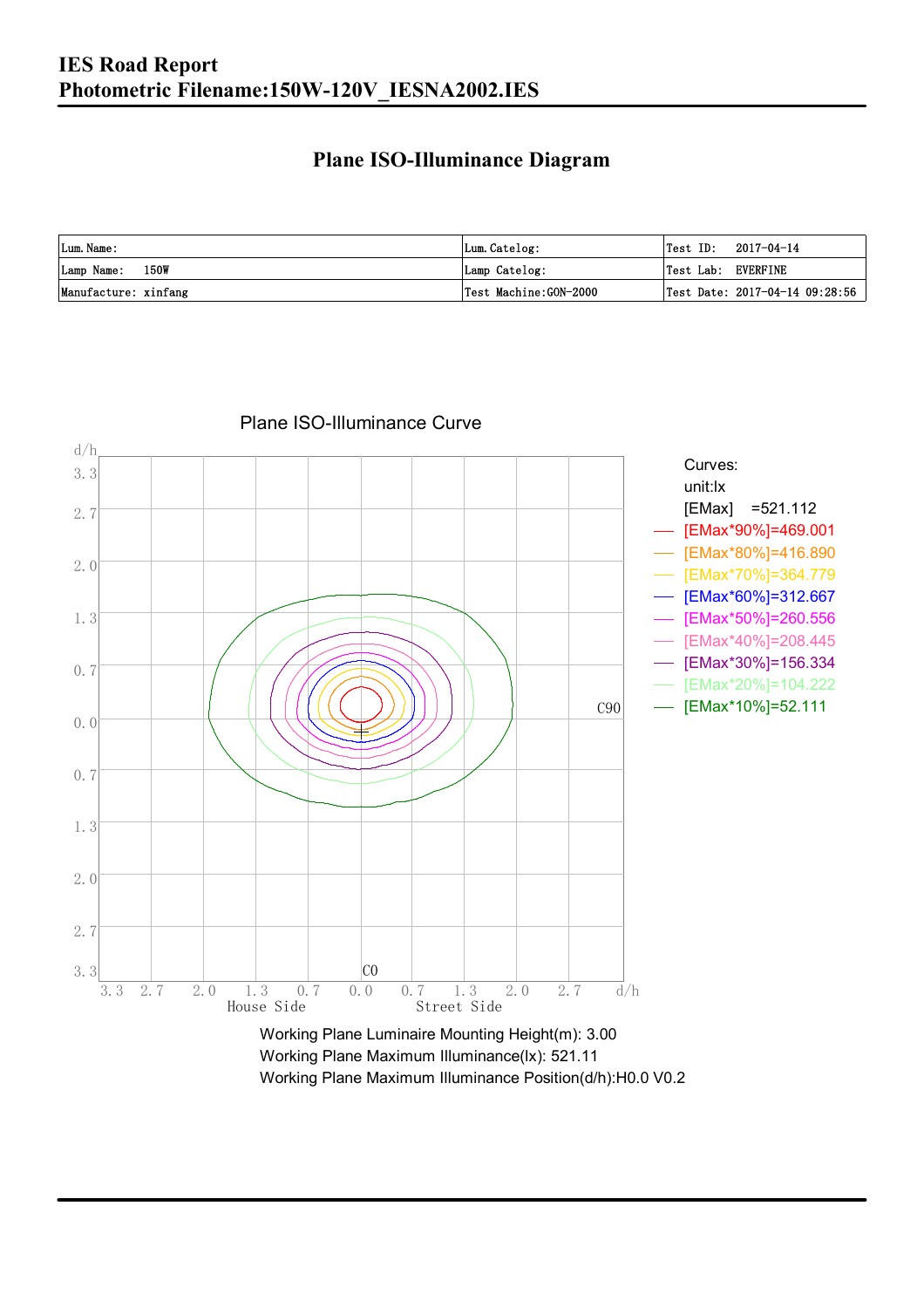### **Plane ISO-Illuminance Diagram**

| Lum. Name:           | Lum.Catelog:          | $\textsf{Test ID:} \quad 2017-04-14$           |
|----------------------|-----------------------|------------------------------------------------|
| Lamp Name: 150W      | Lamp Catelog:         | Test Lab: EVERFINE                             |
| Manufacture: xinfang | Test Machine:GON-2000 | $\vert$ Test Date: 2017-04-14 09:28:56 $\vert$ |



#### Plane ISO-Illuminance Curve

Working Plane Maximum Illuminance(lx): 521.11 Working Plane Maximum Illuminance Position(d/h):H0.0 V0.2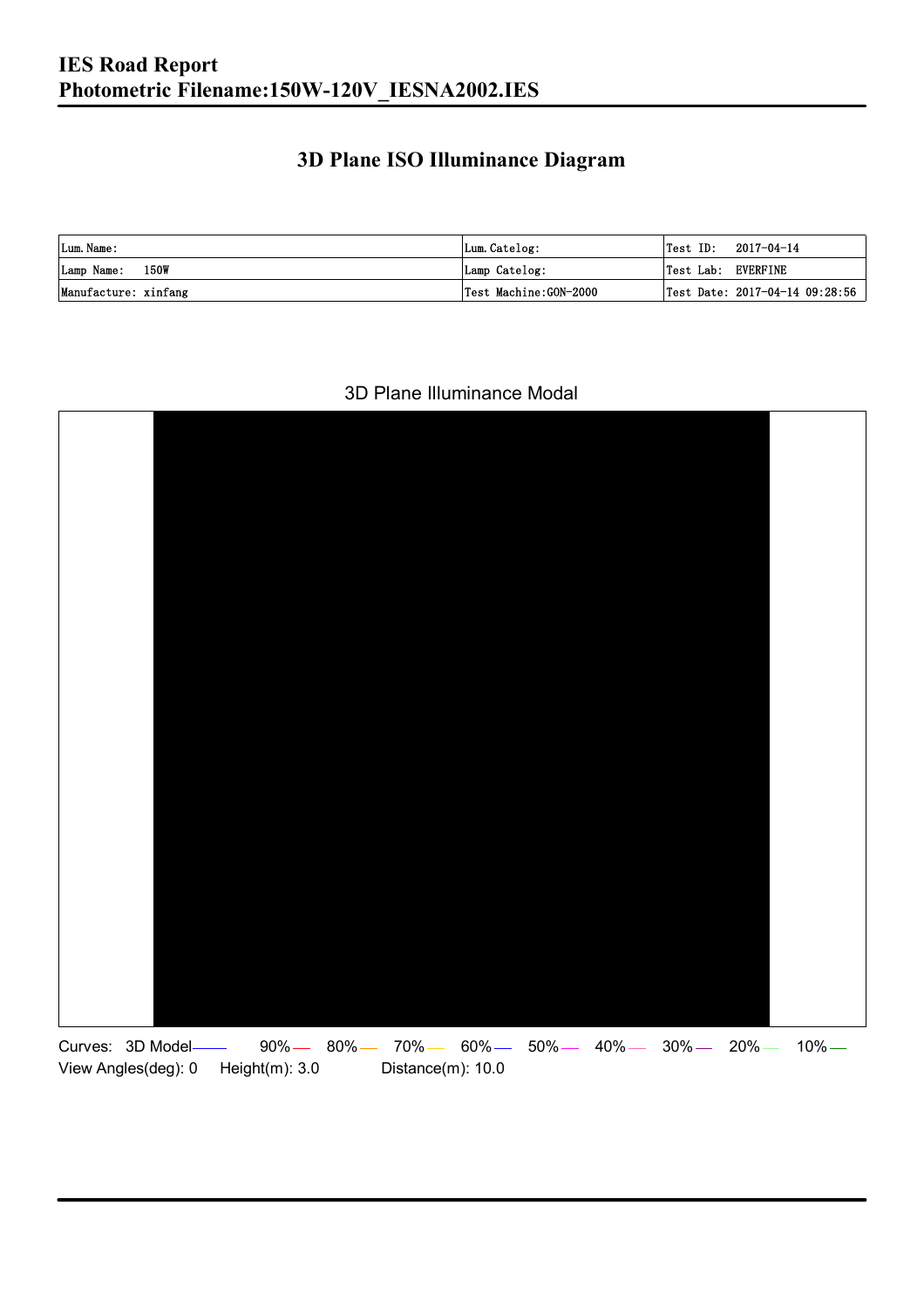### **3D Plane ISO Illuminance Diagram**

| Lum. Name:           | Lum.Catelog:          |                    | $\textsf{Test ID:} \quad 2017-04-14$ |
|----------------------|-----------------------|--------------------|--------------------------------------|
| Lamp Name: 150W      | Lamp Catelog:         | Test Lab: EVERFINE |                                      |
| Manufacture: xinfang | Test Machine:GON-2000 |                    | Test Date: 2017-04-14 09:28:56       |

#### 3D Plane Illuminance Modal

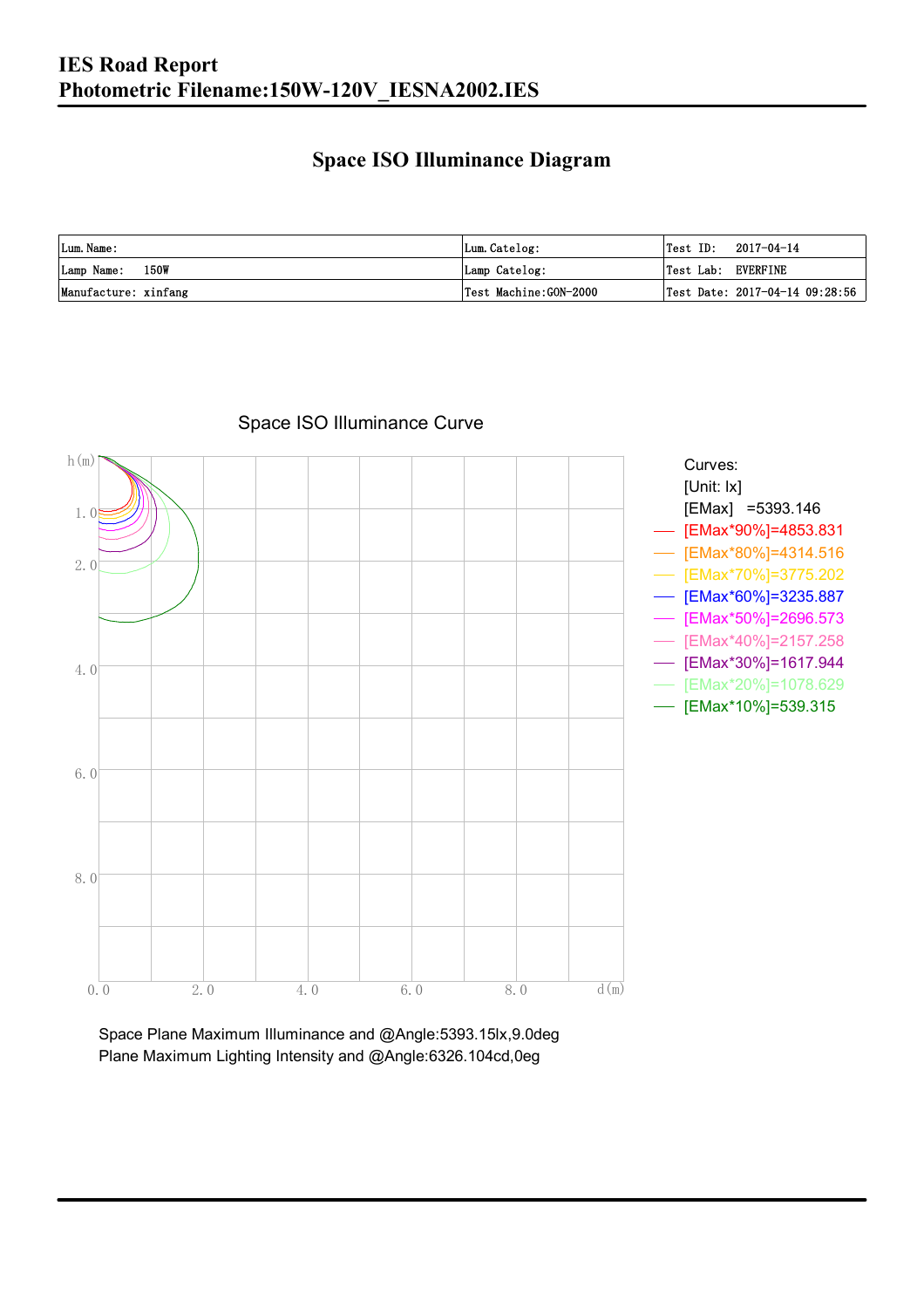### **Space ISO Illuminance Diagram**

| Lum. Name:           | Lum.Catelog:          | $\textsf{Test ID:} \quad 2017-04-14$           |
|----------------------|-----------------------|------------------------------------------------|
| Lamp Name: 150W      | Lamp Catelog:         | Test Lab: EVERFINE                             |
| Manufacture: xinfang | Test Machine:GON-2000 | $\vert$ Test Date: 2017-04-14 09:28:56 $\vert$ |



### Space ISO Illuminance Curve

Space Plane Maximum Illuminance and @Angle:5393.15lx,9.0deg Plane Maximum Lighting Intensity and @Angle:6326.104cd,0eg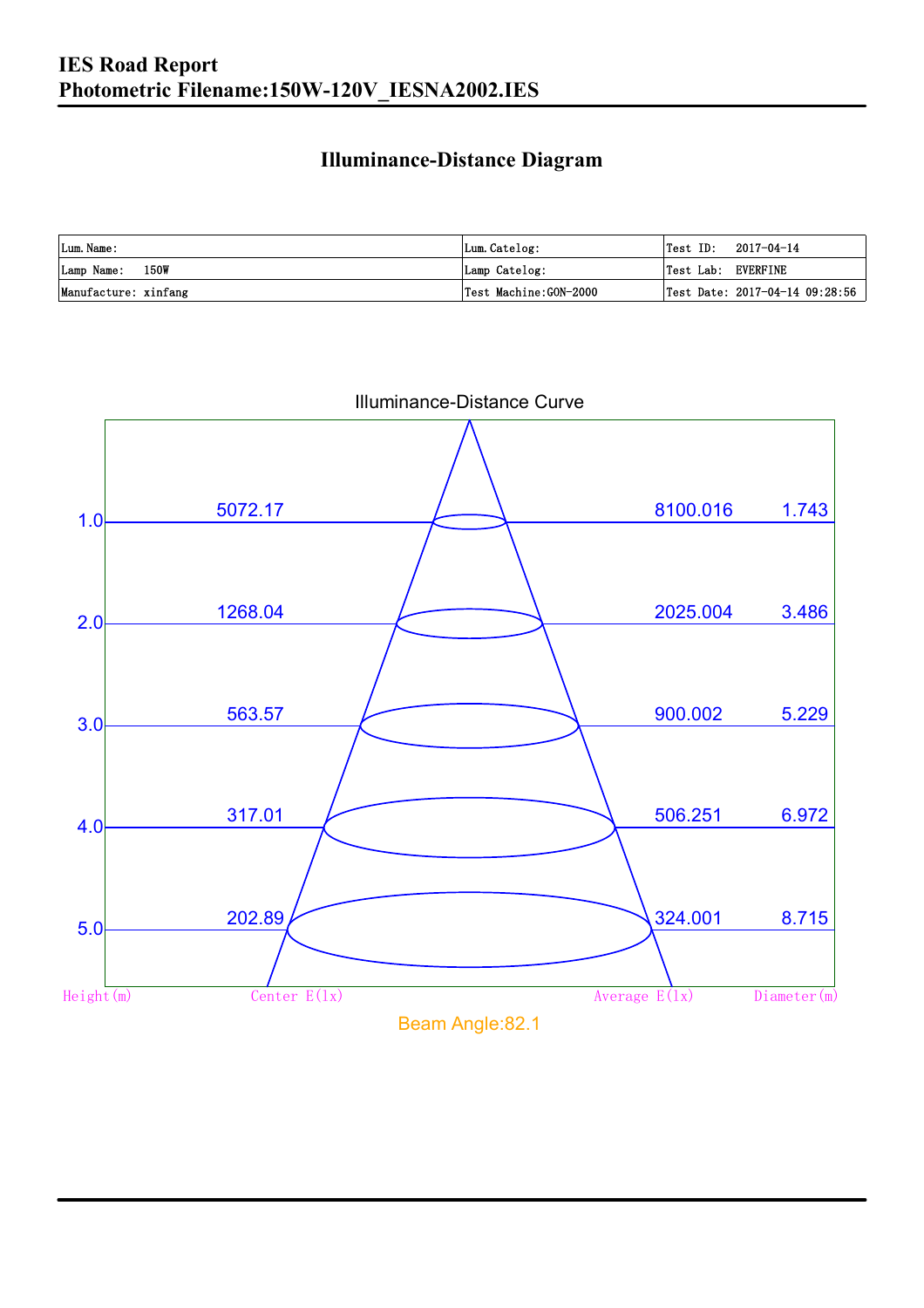### **Illuminance-Distance Diagram**

| Lum. Name:           | Lum.Catelog:          |                    | $\textsf{Test ID:} \quad 2017-04-14$ |
|----------------------|-----------------------|--------------------|--------------------------------------|
| Lamp Name: 150W      | Lamp Catelog:         | Test Lab: EVERFINE |                                      |
| Manufacture: xinfang | Test Machine:GON-2000 |                    | Test Date: 2017-04-14 09:28:56       |



Illuminance-Distance Curve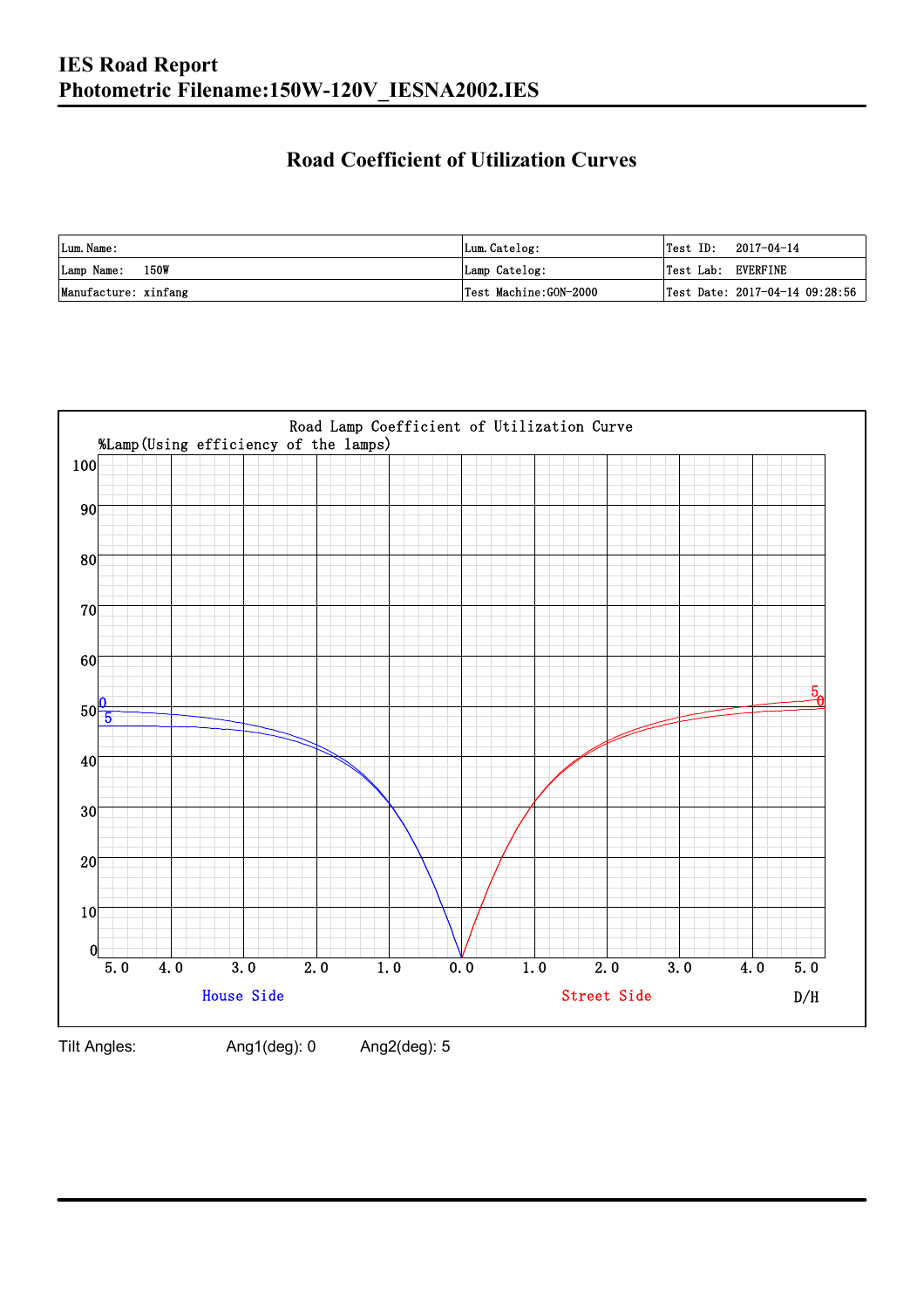### **Road Coefficient of Utilization Curves**

| Lum. Name:           | Lum.Catelog:          | Test ID:           | 2017-04-14                     |
|----------------------|-----------------------|--------------------|--------------------------------|
| Lamp Name: 150W      | Lamp Catelog:         | Test Lab: EVERFINE |                                |
| Manufacture: xinfang | Test Machine:GON-2000 |                    | Test Date: 2017-04-14 09:28:56 |



Tilt Angles: Ang1(deg): 0 Ang2(deg): 5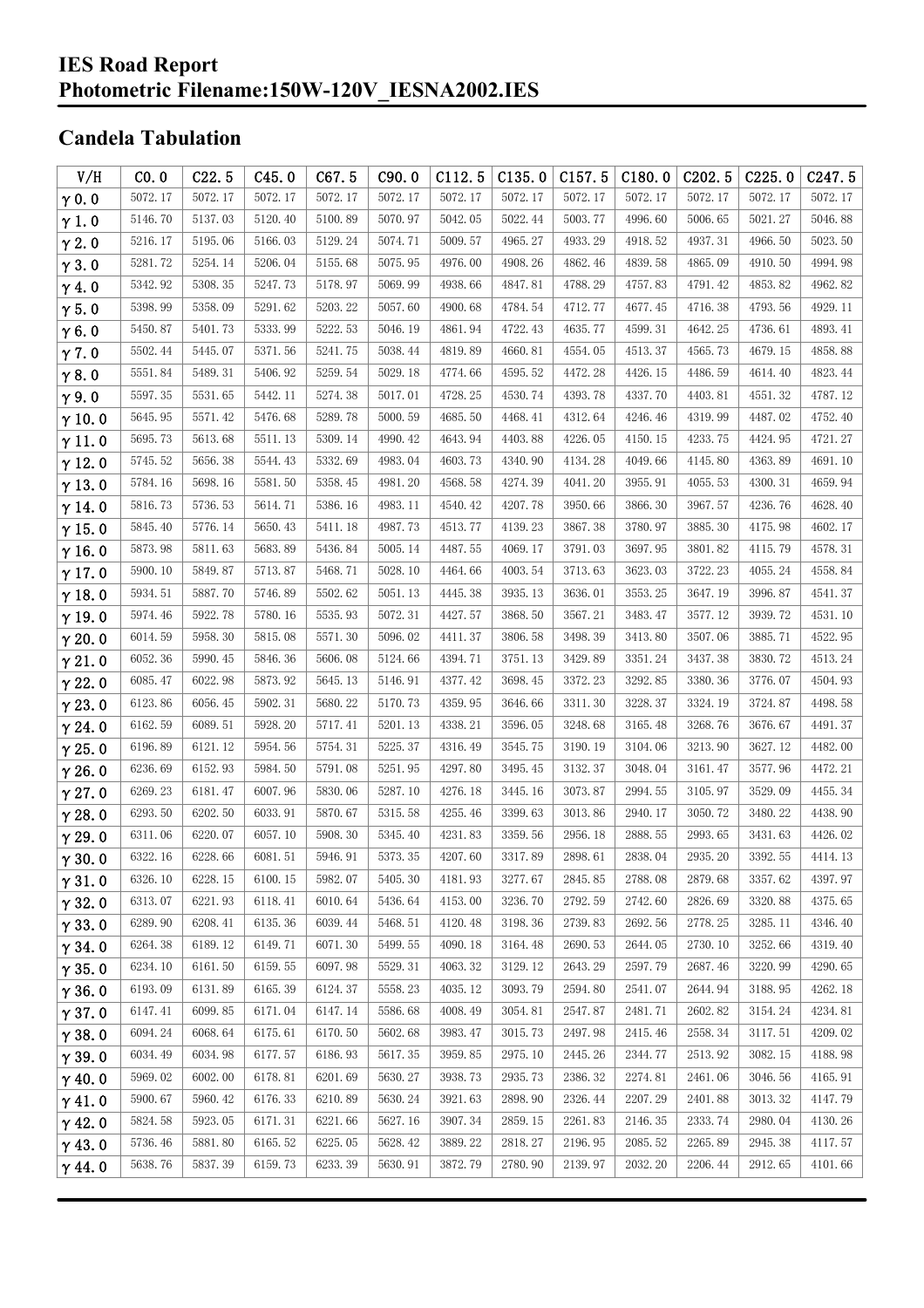#### **IES Road Report Photometric Filename:150W-120V\_IESNA2002.IES**

### **Candela Tabulation**

| V/H           | CO.0    | C22.5   | C45.0   | C67.5   | C90.0   | C112.5  | C135.0  | C157.5  | C180.0  | C202.5  | C225.0  | C247.5                  |
|---------------|---------|---------|---------|---------|---------|---------|---------|---------|---------|---------|---------|-------------------------|
| $\gamma$ 0.0  | 5072.17 | 5072.17 | 5072.17 | 5072.17 | 5072.17 | 5072.17 | 5072.17 | 5072.17 | 5072.17 | 5072.17 | 5072.17 | 5072.17                 |
| $\gamma$ 1.0  | 5146.70 | 5137.03 | 5120.40 | 5100.89 | 5070.97 | 5042.05 | 5022.44 | 5003.77 | 4996.60 | 5006.65 | 5021.27 | 5046.88                 |
| $\gamma$ 2.0  | 5216.17 | 5195.06 | 5166.03 | 5129.24 | 5074.71 | 5009.57 | 4965.27 | 4933.29 | 4918.52 | 4937.31 | 4966.50 | 5023.50                 |
| $\gamma$ 3.0  | 5281.72 | 5254.14 | 5206.04 | 5155.68 | 5075.95 | 4976.00 | 4908.26 | 4862.46 | 4839.58 | 4865.09 | 4910.50 | 4994.98                 |
| $\gamma$ 4.0  | 5342.92 | 5308.35 | 5247.73 | 5178.97 | 5069.99 | 4938.66 | 4847.81 | 4788.29 | 4757.83 | 4791.42 | 4853.82 | 4962.82                 |
| $\gamma$ 5.0  | 5398.99 | 5358.09 | 5291.62 | 5203.22 | 5057.60 | 4900.68 | 4784.54 | 4712.77 | 4677.45 | 4716.38 | 4793.56 | 4929.11                 |
| $\gamma$ 6.0  | 5450.87 | 5401.73 | 5333.99 | 5222.53 | 5046.19 | 4861.94 | 4722.43 | 4635.77 | 4599.31 | 4642.25 | 4736.61 | 4893.41                 |
| $\gamma$ 7.0  | 5502.44 | 5445.07 | 5371.56 | 5241.75 | 5038.44 | 4819.89 | 4660.81 | 4554.05 | 4513.37 | 4565.73 | 4679.15 | 4858.88                 |
| $\gamma$ 8.0  | 5551.84 | 5489.31 | 5406.92 | 5259.54 | 5029.18 | 4774.66 | 4595.52 | 4472.28 | 4426.15 | 4486.59 | 4614.40 | 4823.44                 |
| $\gamma$ 9.0  | 5597.35 | 5531.65 | 5442.11 | 5274.38 | 5017.01 | 4728.25 | 4530.74 | 4393.78 | 4337.70 | 4403.81 | 4551.32 | 4787.12                 |
| $\gamma$ 10.0 | 5645.95 | 5571.42 | 5476.68 | 5289.78 | 5000.59 | 4685.50 | 4468.41 | 4312.64 | 4246.46 | 4319.99 | 4487.02 | 4752.40                 |
| $\gamma$ 11.0 | 5695.73 | 5613.68 | 5511.13 | 5309.14 | 4990.42 | 4643.94 | 4403.88 | 4226.05 | 4150.15 | 4233.75 | 4424.95 | 4721.27                 |
| $\gamma$ 12.0 | 5745.52 | 5656.38 | 5544.43 | 5332.69 | 4983.04 | 4603.73 | 4340.90 | 4134.28 | 4049.66 | 4145.80 | 4363.89 | 4691.10                 |
| $\gamma$ 13.0 | 5784.16 | 5698.16 | 5581.50 | 5358.45 | 4981.20 | 4568.58 | 4274.39 | 4041.20 | 3955.91 | 4055.53 | 4300.31 | 4659.94                 |
| $\gamma$ 14.0 | 5816.73 | 5736.53 | 5614.71 | 5386.16 | 4983.11 | 4540.42 | 4207.78 | 3950.66 | 3866.30 | 3967.57 | 4236.76 | 4628.40                 |
| $\gamma$ 15.0 | 5845.40 | 5776.14 | 5650.43 | 5411.18 | 4987.73 | 4513.77 | 4139.23 | 3867.38 | 3780.97 | 3885.30 | 4175.98 | 4602.17                 |
| $\gamma$ 16.0 | 5873.98 | 5811.63 | 5683.89 | 5436.84 | 5005.14 | 4487.55 | 4069.17 | 3791.03 | 3697.95 | 3801.82 | 4115.79 | 4578.31                 |
| $\gamma$ 17.0 | 5900.10 | 5849.87 | 5713.87 | 5468.71 | 5028.10 | 4464.66 | 4003.54 | 3713.63 | 3623.03 | 3722.23 | 4055.24 | 4558.84                 |
| $\gamma$ 18.0 | 5934.51 | 5887.70 | 5746.89 | 5502.62 | 5051.13 | 4445.38 | 3935.13 | 3636.01 | 3553.25 | 3647.19 | 3996.87 | 4541.37                 |
| $\gamma$ 19.0 | 5974.46 | 5922.78 | 5780.16 | 5535.93 | 5072.31 | 4427.57 | 3868.50 | 3567.21 | 3483.47 | 3577.12 | 3939.72 | 4531.10                 |
| $\gamma$ 20.0 | 6014.59 | 5958.30 | 5815.08 | 5571.30 | 5096.02 | 4411.37 | 3806.58 | 3498.39 | 3413.80 | 3507.06 | 3885.71 | 4522.95                 |
| $\gamma$ 21.0 | 6052.36 | 5990.45 | 5846.36 | 5606.08 | 5124.66 | 4394.71 | 3751.13 | 3429.89 | 3351.24 | 3437.38 | 3830.72 | 4513.24                 |
| $\gamma$ 22.0 | 6085.47 | 6022.98 | 5873.92 | 5645.13 | 5146.91 | 4377.42 | 3698.45 | 3372.23 | 3292.85 | 3380.36 | 3776.07 | 4504.93                 |
| $\gamma$ 23.0 | 6123.86 | 6056.45 | 5902.31 | 5680.22 | 5170.73 | 4359.95 | 3646.66 | 3311.30 | 3228.37 | 3324.19 | 3724.87 | 4498.58                 |
| $\gamma$ 24.0 | 6162.59 | 6089.51 | 5928.20 | 5717.41 | 5201.13 | 4338.21 | 3596.05 | 3248.68 | 3165.48 | 3268.76 | 3676.67 | 4491.37                 |
| $\gamma$ 25.0 | 6196.89 | 6121.12 | 5954.56 | 5754.31 | 5225.37 | 4316.49 | 3545.75 | 3190.19 | 3104.06 | 3213.90 | 3627.12 | 4482.00                 |
| $\gamma$ 26.0 | 6236.69 | 6152.93 | 5984.50 | 5791.08 | 5251.95 | 4297.80 | 3495.45 | 3132.37 | 3048.04 | 3161.47 | 3577.96 | 4472.21                 |
| $\gamma$ 27.0 | 6269.23 | 6181.47 | 6007.96 | 5830.06 | 5287.10 | 4276.18 | 3445.16 | 3073.87 | 2994.55 | 3105.97 | 3529.09 | 4455.34                 |
| $\gamma$ 28.0 | 6293.50 | 6202.50 | 6033.91 | 5870.67 | 5315.58 | 4255.46 | 3399.63 | 3013.86 | 2940.17 | 3050.72 | 3480.22 | 4438.90                 |
| $\gamma$ 29.0 | 6311.06 | 6220.07 | 6057.10 | 5908.30 | 5345.40 | 4231.83 | 3359.56 | 2956.18 | 2888.55 | 2993.65 | 3431.63 | 4426.02                 |
| $\gamma$ 30.0 | 6322.16 | 6228.66 | 6081.51 | 5946.91 | 5373.35 | 4207.60 | 3317.89 | 2898.61 | 2838.04 | 2935.20 | 3392.55 | 4414.13                 |
| $\gamma$ 31.0 | 6326.10 | 6228.15 | 6100.15 | 5982.07 | 5405.30 | 4181.93 | 3277.67 | 2845.85 | 2788.08 | 2879.68 | 3357.62 | 4397.97                 |
| $\gamma$ 32.0 | 6313.07 | 6221.93 | 6118.41 | 6010.64 | 5436.64 | 4153.00 | 3236.70 | 2792.59 | 2742.60 | 2826.69 | 3320.88 | 4375.65                 |
| $\gamma$ 33.0 | 6289.90 | 6208.41 | 6135.36 | 6039.44 | 5468.51 | 4120.48 | 3198.36 | 2739.83 | 2692.56 | 2778.25 | 3285.11 | 4346.40                 |
| $\gamma$ 34.0 | 6264.38 | 6189.12 | 6149.71 | 6071.30 | 5499.55 | 4090.18 | 3164.48 | 2690.53 | 2644.05 | 2730.10 | 3252.66 | 4319.40                 |
| $\gamma$ 35.0 | 6234.10 | 6161.50 | 6159.55 | 6097.98 | 5529.31 | 4063.32 | 3129.12 | 2643.29 | 2597.79 | 2687.46 | 3220.99 | 4290.65                 |
| $\gamma$ 36.0 | 6193.09 | 6131.89 | 6165.39 | 6124.37 | 5558.23 | 4035.12 | 3093.79 | 2594.80 | 2541.07 | 2644.94 | 3188.95 | 4262.18                 |
| $\gamma$ 37.0 | 6147.41 | 6099.85 | 6171.04 | 6147.14 | 5586.68 | 4008.49 | 3054.81 | 2547.87 | 2481.71 | 2602.82 | 3154.24 | $4234.\,\allowbreak 81$ |
| $\gamma$ 38.0 | 6094.24 | 6068.64 | 6175.61 | 6170.50 | 5602.68 | 3983.47 | 3015.73 | 2497.98 | 2415.46 | 2558.34 | 3117.51 | 4209.02                 |
| $\gamma$ 39.0 | 6034.49 | 6034.98 | 6177.57 | 6186.93 | 5617.35 | 3959.85 | 2975.10 | 2445.26 | 2344.77 | 2513.92 | 3082.15 | 4188.98                 |
| $\gamma$ 40.0 | 5969.02 | 6002.00 | 6178.81 | 6201.69 | 5630.27 | 3938.73 | 2935.73 | 2386.32 | 2274.81 | 2461.06 | 3046.56 | 4165.91                 |
| $\gamma$ 41.0 | 5900.67 | 5960.42 | 6176.33 | 6210.89 | 5630.24 | 3921.63 | 2898.90 | 2326.44 | 2207.29 | 2401.88 | 3013.32 | 4147.79                 |
| $\gamma$ 42.0 | 5824.58 | 5923.05 | 6171.31 | 6221.66 | 5627.16 | 3907.34 | 2859.15 | 2261.83 | 2146.35 | 2333.74 | 2980.04 | 4130.26                 |
| $\gamma$ 43.0 | 5736.46 | 5881.80 | 6165.52 | 6225.05 | 5628.42 | 3889.22 | 2818.27 | 2196.95 | 2085.52 | 2265.89 | 2945.38 | 4117.57                 |
| $\gamma$ 44.0 | 5638.76 | 5837.39 | 6159.73 | 6233.39 | 5630.91 | 3872.79 | 2780.90 | 2139.97 | 2032.20 | 2206.44 | 2912.65 | 4101.66                 |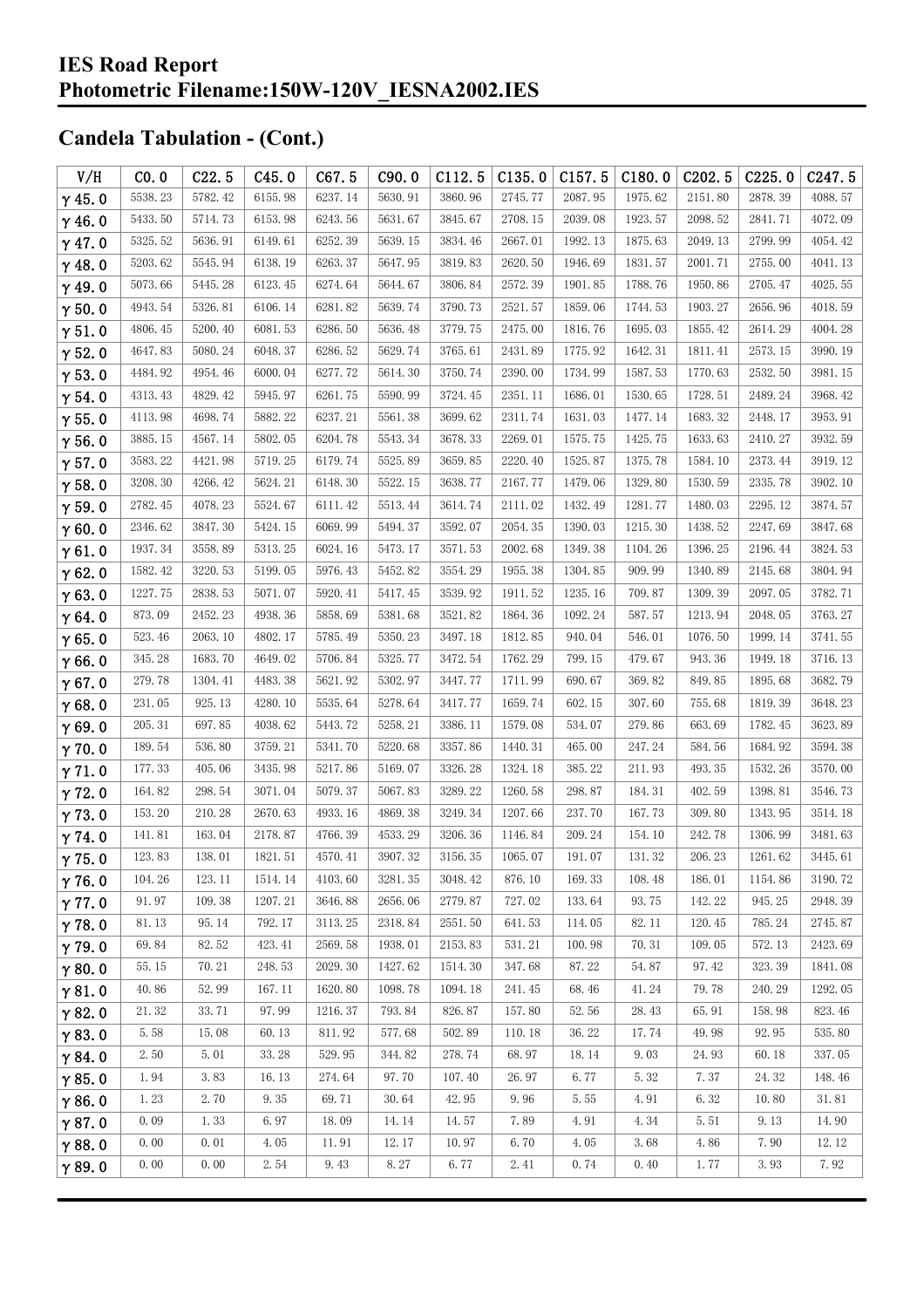| V/H           | CO.0    | C22.5   | C45.0   | C67.5   | C90.0   | C112.5  | C135.0  | C157.5  | C180.0   | C <sub>202.5</sub> | C225.0  | C <sub>247.5</sub> |
|---------------|---------|---------|---------|---------|---------|---------|---------|---------|----------|--------------------|---------|--------------------|
| $\gamma$ 45.0 | 5538.23 | 5782.42 | 6155.98 | 6237.14 | 5630.91 | 3860.96 | 2745.77 | 2087.95 | 1975.62  | 2151.80            | 2878.39 | 4088.57            |
| $\gamma$ 46.0 | 5433.50 | 5714.73 | 6153.98 | 6243.56 | 5631.67 | 3845.67 | 2708.15 | 2039.08 | 1923.57  | 2098.52            | 2841.71 | 4072.09            |
| $\gamma$ 47.0 | 5325.52 | 5636.91 | 6149.61 | 6252.39 | 5639.15 | 3834.46 | 2667.01 | 1992.13 | 1875.63  | 2049.13            | 2799.99 | 4054.42            |
| $\gamma$ 48.0 | 5203.62 | 5545.94 | 6138.19 | 6263.37 | 5647.95 | 3819.83 | 2620.50 | 1946.69 | 1831.57  | 2001.71            | 2755.00 | 4041.13            |
| $\gamma$ 49.0 | 5073.66 | 5445.28 | 6123.45 | 6274.64 | 5644.67 | 3806.84 | 2572.39 | 1901.85 | 1788.76  | 1950.86            | 2705.47 | 4025.55            |
| $\gamma$ 50.0 | 4943.54 | 5326.81 | 6106.14 | 6281.82 | 5639.74 | 3790.73 | 2521.57 | 1859.06 | 1744.53  | 1903.27            | 2656.96 | 4018.59            |
| $\gamma$ 51.0 | 4806.45 | 5200.40 | 6081.53 | 6286.50 | 5636.48 | 3779.75 | 2475.00 | 1816.76 | 1695.03  | 1855.42            | 2614.29 | 4004.28            |
| $\gamma$ 52.0 | 4647.83 | 5080.24 | 6048.37 | 6286.52 | 5629.74 | 3765.61 | 2431.89 | 1775.92 | 1642.31  | 1811.41            | 2573.15 | 3990.19            |
| $\gamma$ 53.0 | 4484.92 | 4954.46 | 6000.04 | 6277.72 | 5614.30 | 3750.74 | 2390.00 | 1734.99 | 1587.53  | 1770.63            | 2532.50 | 3981.15            |
| $\gamma$ 54.0 | 4313.43 | 4829.42 | 5945.97 | 6261.75 | 5590.99 | 3724.45 | 2351.11 | 1686.01 | 1530.65  | 1728.51            | 2489.24 | 3968.42            |
| $\gamma$ 55.0 | 4113.98 | 4698.74 | 5882.22 | 6237.21 | 5561.38 | 3699.62 | 2311.74 | 1631.03 | 1477.14  | 1683.32            | 2448.17 | 3953.91            |
| $\gamma$ 56.0 | 3885.15 | 4567.14 | 5802.05 | 6204.78 | 5543.34 | 3678.33 | 2269.01 | 1575.75 | 1425.75  | 1633.63            | 2410.27 | 3932.59            |
| $\gamma$ 57.0 | 3583.22 | 4421.98 | 5719.25 | 6179.74 | 5525.89 | 3659.85 | 2220.40 | 1525.87 | 1375.78  | 1584.10            | 2373.44 | 3919.12            |
| $\gamma$ 58.0 | 3208.30 | 4266.42 | 5624.21 | 6148.30 | 5522.15 | 3638.77 | 2167.77 | 1479.06 | 1329.80  | 1530.59            | 2335.78 | 3902.10            |
| $\gamma$ 59.0 | 2782.45 | 4078.23 | 5524.67 | 6111.42 | 5513.44 | 3614.74 | 2111.02 | 1432.49 | 1281.77  | 1480.03            | 2295.12 | 3874.57            |
| $\gamma$ 60.0 | 2346.62 | 3847.30 | 5424.15 | 6069.99 | 5494.37 | 3592.07 | 2054.35 | 1390.03 | 1215.30  | 1438.52            | 2247.69 | 3847.68            |
| $\gamma$ 61.0 | 1937.34 | 3558.89 | 5313.25 | 6024.16 | 5473.17 | 3571.53 | 2002.68 | 1349.38 | 1104.26  | 1396.25            | 2196.44 | 3824.53            |
| $\gamma$ 62.0 | 1582.42 | 3220.53 | 5199.05 | 5976.43 | 5452.82 | 3554.29 | 1955.38 | 1304.85 | 909.99   | 1340.89            | 2145.68 | 3804.94            |
| $\gamma$ 63.0 | 1227.75 | 2838.53 | 5071.07 | 5920.41 | 5417.45 | 3539.92 | 1911.52 | 1235.16 | 709.87   | 1309.39            | 2097.05 | 3782.71            |
| $\gamma$ 64.0 | 873.09  | 2452.23 | 4938.36 | 5858.69 | 5381.68 | 3521.82 | 1864.36 | 1092.24 | 587.57   | 1213.94            | 2048.05 | 3763.27            |
| $\gamma$ 65.0 | 523.46  | 2063.10 | 4802.17 | 5785.49 | 5350.23 | 3497.18 | 1812.85 | 940.04  | 546.01   | 1076.50            | 1999.14 | 3741.55            |
| $\gamma$ 66.0 | 345.28  | 1683.70 | 4649.02 | 5706.84 | 5325.77 | 3472.54 | 1762.29 | 799.15  | 479.67   | 943.36             | 1949.18 | 3716.13            |
| $\gamma$ 67.0 | 279.78  | 1304.41 | 4483.38 | 5621.92 | 5302.97 | 3447.77 | 1711.99 | 690.67  | 369.82   | 849.85             | 1895.68 | 3682.79            |
| $\gamma$ 68.0 | 231.05  | 925.13  | 4280.10 | 5535.64 | 5278.64 | 3417.77 | 1659.74 | 602.15  | 307.60   | 755.68             | 1819.39 | 3648.23            |
| $\gamma$ 69.0 | 205.31  | 697.85  | 4038.62 | 5443.72 | 5258.21 | 3386.11 | 1579.08 | 534.07  | 279.86   | 663.69             | 1782.45 | 3623.89            |
| $\gamma$ 70.0 | 189.54  | 536.80  | 3759.21 | 5341.70 | 5220.68 | 3357.86 | 1440.31 | 465.00  | 247.24   | 584.56             | 1684.92 | 3594.38            |
| $\gamma$ 71.0 | 177.33  | 405.06  | 3435.98 | 5217.86 | 5169.07 | 3326.28 | 1324.18 | 385.22  | 211.93   | 493.35             | 1532.26 | 3570.00            |
| $\gamma$ 72.0 | 164.82  | 298.54  | 3071.04 | 5079.37 | 5067.83 | 3289.22 | 1260.58 | 298.87  | 184.31   | 402.59             | 1398.81 | 3546.73            |
| $\gamma$ 73.0 | 153.20  | 210.28  | 2670.63 | 4933.16 | 4869.38 | 3249.34 | 1207.66 | 237.70  | 167.73   | 309.80             | 1343.95 | 3514.18            |
| $\gamma$ 74.0 | 141.81  | 163.04  | 2178.87 | 4766.39 | 4533.29 | 3206.36 | 1146.84 | 209.24  | 154.10   | 242.78             | 1306.99 | 3481.63            |
| $\gamma$ 75.0 | 123.83  | 138.01  | 1821.51 | 4570.41 | 3907.32 | 3156.35 | 1065.07 | 191.07  | 131.32   | 206.23             | 1261.62 | 3445.61            |
| $\gamma$ 76.0 | 104.26  | 123.11  | 1514.14 | 4103.60 | 3281.35 | 3048.42 | 876.10  | 169.33  | 108.48   | 186.01             | 1154.86 | 3190.72            |
| $\gamma$ 77.0 | 91.97   | 109.38  | 1207.21 | 3646.88 | 2656.06 | 2779.87 | 727.02  | 133.64  | 93.75    | 142.22             | 945.25  | 2948.39            |
| $\gamma$ 78.0 | 81.13   | 95.14   | 792.17  | 3113.25 | 2318.84 | 2551.50 | 641.53  | 114.05  | 82.11    | 120.45             | 785.24  | 2745.87            |
| $\gamma$ 79.0 | 69.84   | 82.52   | 423.41  | 2569.58 | 1938.01 | 2153.83 | 531.21  | 100.98  | 70.31    | 109.05             | 572.13  | 2423.69            |
| $\gamma$ 80.0 | 55.15   | 70.21   | 248.53  | 2029.30 | 1427.62 | 1514.30 | 347.68  | 87.22   | 54.87    | 97.42              | 323.39  | 1841.08            |
| $\gamma$ 81.0 | 40.86   | 52.99   | 167.11  | 1620.80 | 1098.78 | 1094.18 | 241.45  | 68.46   | 41.24    | 79.78              | 240.29  | 1292.05            |
| $\gamma$ 82.0 | 21.32   | 33.71   | 97.99   | 1216.37 | 793.84  | 826.87  | 157.80  | 52.56   | 28.43    | 65.91              | 158.98  | 823.46             |
| $\gamma$ 83.0 | 5.58    | 15.08   | 60.13   | 811.92  | 577.68  | 502.89  | 110.18  | 36.22   | 17.74    | 49.98              | 92.95   | 535.80             |
| $\gamma$ 84.0 | 2.50    | 5.01    | 33.28   | 529.95  | 344.82  | 278.74  | 68.97   | 18.14   | 9.03     | 24.93              | 60.18   | 337.05             |
| $\gamma$ 85.0 | 1.94    | 3.83    | 16.13   | 274.64  | 97.70   | 107.40  | 26.97   | 6.77    | 5.32     | 7.37               | 24.32   | 148.46             |
| $\gamma$ 86.0 | 1.23    | 2.70    | 9.35    | 69.71   | 30.64   | 42.95   | 9.96    | 5.55    | 4.91     | 6.32               | 10.80   | 31.81              |
| $\gamma$ 87.0 | 0.09    | 1.33    | 6.97    | 18.09   | 14.14   | 14.57   | 7.89    | 4.91    | 4.34     | 5.51               | 9.13    | 14.90              |
| $\gamma$ 88.0 | 0.00    | 0.01    | 4.05    | 11.91   | 12.17   | 10.97   | 6.70    | 4.05    | 3.68     | 4.86               | 7.90    | 12.12              |
| $\gamma$ 89.0 | 0.00    | 0.00    | 2.54    | 9.43    | 8.27    | 6.77    | 2.41    | 0.74    | $0.40\,$ | 1.77               | 3.93    | 7.92               |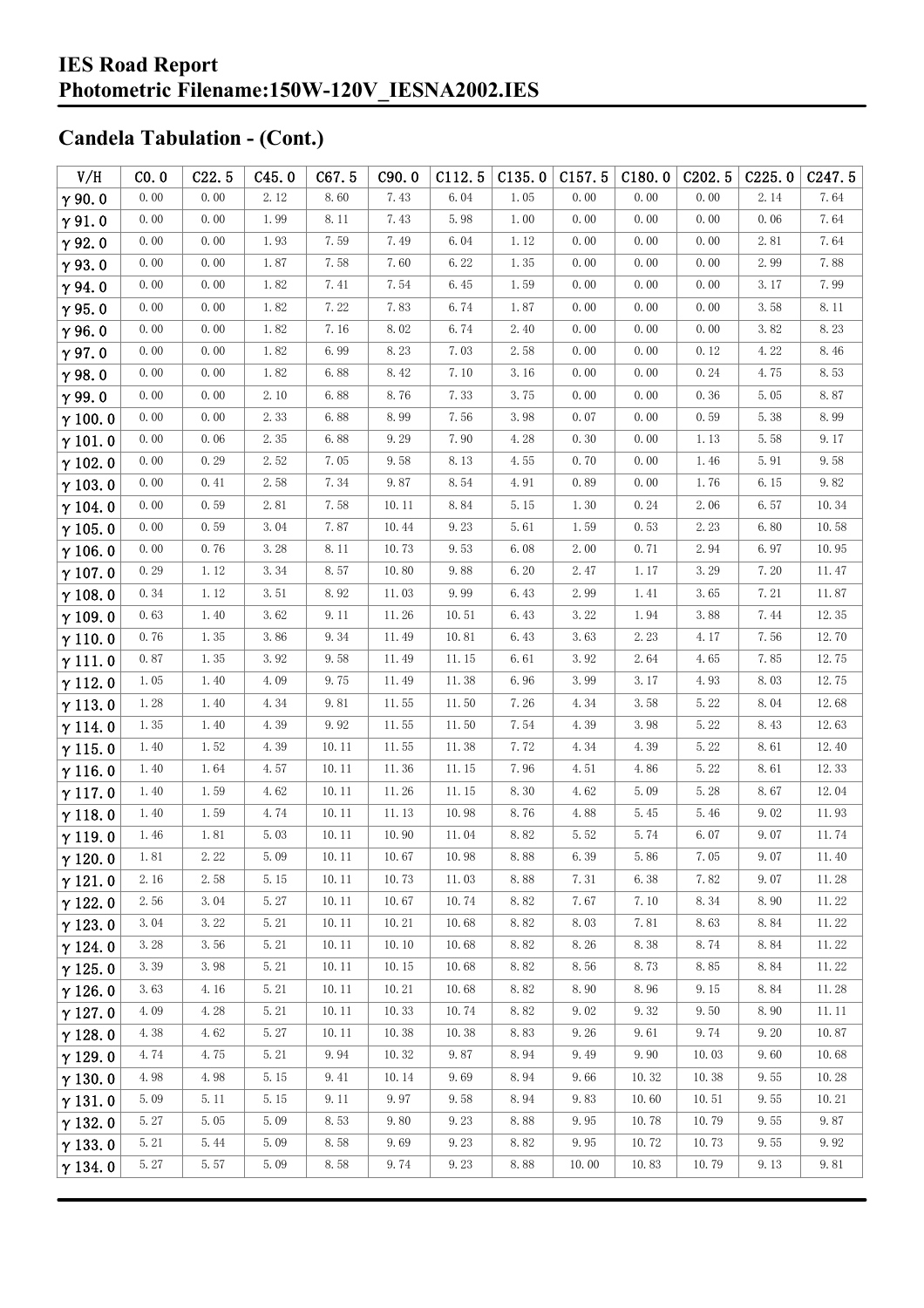#### **IES Road Report Photometric Filename:150W-120V\_IESNA2002.IES**

| V/H            | CO.0 | C22.5 | C45.0                | C67.5 | C90.0 | C112.5 | C135.0               | C157.5 | C180.0 | C <sub>202.5</sub> | C225.0 | C <sub>247.5</sub> |
|----------------|------|-------|----------------------|-------|-------|--------|----------------------|--------|--------|--------------------|--------|--------------------|
| $\gamma$ 90.0  | 0.00 | 0.00  | 2.12                 | 8.60  | 7.43  | 6.04   | 1.05                 | 0.00   | 0.00   | 0.00               | 2.14   | 7.64               |
| $\gamma$ 91.0  | 0.00 | 0.00  | 1.99                 | 8.11  | 7.43  | 5.98   | 1.00                 | 0.00   | 0.00   | 0.00               | 0.06   | 7.64               |
| $\gamma$ 92.0  | 0.00 | 0.00  | 1.93                 | 7.59  | 7.49  | 6.04   | 1.12                 | 0.00   | 0.00   | 0.00               | 2.81   | 7.64               |
| $\gamma$ 93.0  | 0.00 | 0.00  | 1.87                 | 7.58  | 7.60  | 6.22   | 1.35                 | 0.00   | 0.00   | 0.00               | 2.99   | 7.88               |
| $\gamma$ 94.0  | 0.00 | 0.00  | 1.82                 | 7.41  | 7.54  | 6.45   | 1.59                 | 0.00   | 0.00   | 0.00               | 3.17   | 7.99               |
| $\gamma$ 95.0  | 0.00 | 0.00  | 1.82                 | 7.22  | 7.83  | 6.74   | 1.87                 | 0.00   | 0.00   | 0.00               | 3.58   | 8.11               |
| $\gamma$ 96.0  | 0.00 | 0.00  | 1.82                 | 7.16  | 8.02  | 6.74   | 2.40                 | 0.00   | 0.00   | 0.00               | 3.82   | 8.23               |
| $\gamma$ 97.0  | 0.00 | 0.00  | 1.82                 | 6.99  | 8.23  | 7.03   | 2.58                 | 0.00   | 0.00   | 0.12               | 4.22   | 8.46               |
| $\gamma$ 98.0  | 0.00 | 0.00  | 1.82                 | 6.88  | 8.42  | 7.10   | 3.16                 | 0.00   | 0.00   | 0.24               | 4.75   | 8.53               |
| $\gamma$ 99.0  | 0.00 | 0.00  | 2.10                 | 6.88  | 8.76  | 7.33   | 3.75                 | 0.00   | 0.00   | 0.36               | 5.05   | 8.87               |
| $\gamma$ 100.0 | 0.00 | 0.00  | 2.33                 | 6.88  | 8.99  | 7.56   | 3.98                 | 0.07   | 0.00   | 0.59               | 5.38   | 8.99               |
| $\gamma$ 101.0 | 0.00 | 0.06  | 2.35                 | 6.88  | 9.29  | 7.90   | 4.28                 | 0.30   | 0.00   | 1.13               | 5.58   | 9.17               |
| $\gamma$ 102.0 | 0.00 | 0.29  | 2.52                 | 7.05  | 9.58  | 8.13   | 4.55                 | 0.70   | 0.00   | 1.46               | 5.91   | 9.58               |
| $\gamma$ 103.0 | 0.00 | 0.41  | 2.58                 | 7.34  | 9.87  | 8.54   | 4.91                 | 0.89   | 0.00   | 1.76               | 6.15   | 9.82               |
| $\gamma$ 104.0 | 0.00 | 0.59  | $2.\,\allowbreak 81$ | 7.58  | 10.11 | 8.84   | 5.15                 | 1.30   | 0.24   | 2.06               | 6.57   | 10.34              |
| $\gamma$ 105.0 | 0.00 | 0.59  | 3.04                 | 7.87  | 10.44 | 9.23   | 5.61                 | 1.59   | 0.53   | 2.23               | 6.80   | 10.58              |
| $\gamma$ 106.0 | 0.00 | 0.76  | 3.28                 | 8.11  | 10.73 | 9.53   | 6.08                 | 2.00   | 0.71   | 2.94               | 6.97   | 10.95              |
| $\gamma$ 107.0 | 0.29 | 1.12  | 3.34                 | 8.57  | 10.80 | 9.88   | 6.20                 | 2.47   | 1.17   | 3.29               | 7.20   | 11.47              |
| $\gamma$ 108.0 | 0.34 | 1.12  | 3.51                 | 8.92  | 11.03 | 9.99   | 6.43                 | 2.99   | 1.41   | 3.65               | 7.21   | 11.87              |
| $\gamma$ 109.0 | 0.63 | 1.40  | 3.62                 | 9.11  | 11.26 | 10.51  | 6.43                 | 3.22   | 1.94   | 3.88               | 7.44   | 12.35              |
| $\gamma$ 110.0 | 0.76 | 1.35  | 3.86                 | 9.34  | 11.49 | 10.81  | 6.43                 | 3.63   | 2.23   | 4.17               | 7.56   | 12.70              |
| $\gamma$ 111.0 | 0.87 | 1.35  | 3.92                 | 9.58  | 11.49 | 11.15  | 6.61                 | 3.92   | 2.64   | 4.65               | 7.85   | 12.75              |
| $\gamma$ 112.0 | 1.05 | 1.40  | 4.09                 | 9.75  | 11.49 | 11.38  | 6.96                 | 3.99   | 3.17   | 4.93               | 8.03   | 12.75              |
| $\gamma$ 113.0 | 1.28 | 1.40  | 4.34                 | 9.81  | 11.55 | 11.50  | 7.26                 | 4.34   | 3.58   | 5.22               | 8.04   | 12.68              |
| $\gamma$ 114.0 | 1.35 | 1.40  | 4.39                 | 9.92  | 11.55 | 11.50  | 7.54                 | 4.39   | 3.98   | 5.22               | 8.43   | 12.63              |
| $\gamma$ 115.0 | 1.40 | 1.52  | 4.39                 | 10.11 | 11.55 | 11.38  | 7.72                 | 4.34   | 4.39   | 5.22               | 8.61   | 12.40              |
| $\gamma$ 116.0 | 1.40 | 1.64  | 4.57                 | 10.11 | 11.36 | 11.15  | 7.96                 | 4.51   | 4.86   | 5.22               | 8.61   | 12.33              |
| $\gamma$ 117.0 | 1.40 | 1.59  | 4.62                 | 10.11 | 11.26 | 11.15  | 8.30                 | 4.62   | 5.09   | 5.28               | 8.67   | 12.04              |
| $\gamma$ 118.0 | 1.40 | 1.59  | 4.74                 | 10.11 | 11.13 | 10.98  | 8.76                 | 4.88   | 5.45   | 5.46               | 9.02   | 11.93              |
| $\gamma$ 119.0 | 1.46 | 1.81  | 5.03                 | 10.11 | 10.90 | 11.04  | 8.82                 | 5.52   | 5.74   | 6.07               | 9.07   | 11.74              |
| $\gamma$ 120.0 | 1.81 | 2.22  | 5.09                 | 10.11 | 10.67 | 10.98  | $8.\,\allowbreak 88$ | 6.39   | 5.86   | 7.05               | 9.07   | 11.40              |
| $\gamma$ 121.0 | 2.16 | 2.58  | 5.15                 | 10.11 | 10.73 | 11.03  | 8.88                 | 7.31   | 6.38   | 7.82               | 9.07   | 11.28              |
| $\gamma$ 122.0 | 2.56 | 3.04  | 5.27                 | 10.11 | 10.67 | 10.74  | 8.82                 | 7.67   | 7.10   | 8.34               | 8.90   | 11.22              |
| $\gamma$ 123.0 | 3.04 | 3.22  | 5.21                 | 10.11 | 10.21 | 10.68  | 8.82                 | 8.03   | 7.81   | 8.63               | 8.84   | 11.22              |
| $\gamma$ 124.0 | 3.28 | 3.56  | 5.21                 | 10.11 | 10.10 | 10.68  | 8.82                 | 8.26   | 8.38   | 8.74               | 8.84   | 11.22              |
| $\gamma$ 125.0 | 3.39 | 3.98  | 5.21                 | 10.11 | 10.15 | 10.68  | 8.82                 | 8.56   | 8.73   | 8.85               | 8.84   | 11.22              |
| $\gamma$ 126.0 | 3.63 | 4.16  | 5.21                 | 10.11 | 10.21 | 10.68  | 8.82                 | 8.90   | 8.96   | 9.15               | 8.84   | 11.28              |
| $\gamma$ 127.0 | 4.09 | 4.28  | 5.21                 | 10.11 | 10.33 | 10.74  | 8.82                 | 9.02   | 9.32   | 9.50               | 8.90   | 11.11              |
| $\gamma$ 128.0 | 4.38 | 4.62  | 5.27                 | 10.11 | 10.38 | 10.38  | 8.83                 | 9.26   | 9.61   | 9.74               | 9.20   | 10.87              |
| $\gamma$ 129.0 | 4.74 | 4.75  | 5.21                 | 9.94  | 10.32 | 9.87   | 8.94                 | 9.49   | 9.90   | 10.03              | 9.60   | 10.68              |
| $\gamma$ 130.0 | 4.98 | 4.98  | 5.15                 | 9.41  | 10.14 | 9.69   | 8.94                 | 9.66   | 10.32  | 10.38              | 9.55   | 10.28              |
| $\gamma$ 131.0 | 5.09 | 5.11  | 5.15                 | 9.11  | 9.97  | 9.58   | 8.94                 | 9.83   | 10.60  | 10.51              | 9.55   | 10.21              |
| $\gamma$ 132.0 | 5.27 | 5.05  | 5.09                 | 8.53  | 9.80  | 9.23   | 8.88                 | 9.95   | 10.78  | 10.79              | 9.55   | 9.87               |
| $\gamma$ 133.0 | 5.21 | 5.44  | 5.09                 | 8.58  | 9.69  | 9.23   | 8.82                 | 9.95   | 10.72  | 10.73              | 9.55   | 9.92               |
| $\gamma$ 134.0 | 5.27 | 5.57  | 5.09                 | 8.58  | 9.74  | 9.23   | 8.88                 | 10.00  | 10.83  | 10.79              | 9.13   | 9.81               |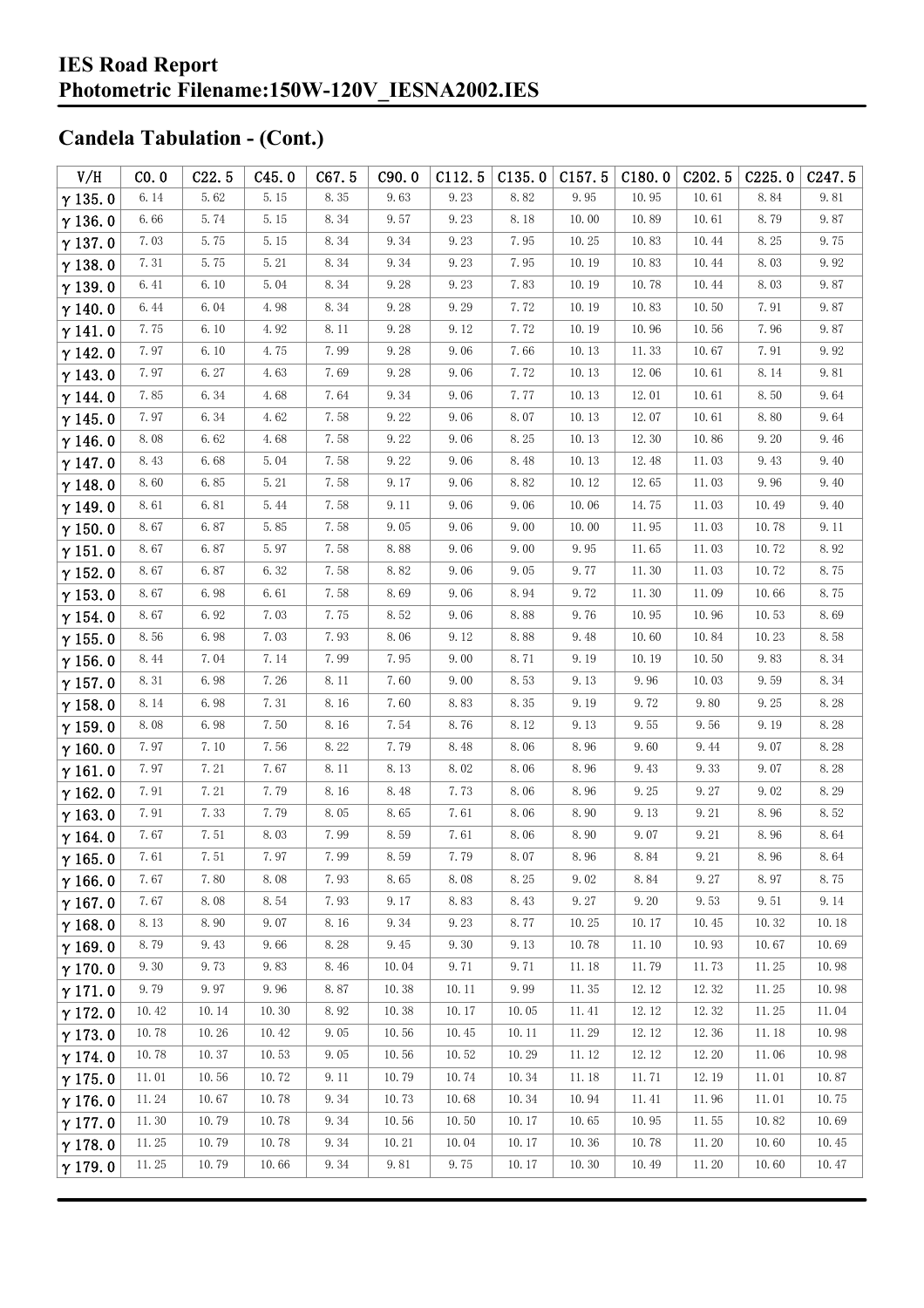| V/H            | CO.0  | C22.5 | C45.0 | C67.5 | C90.0 | C112.5 | C135.0 | C157.5 | C180.0 | C <sub>2</sub> 02.5  | C225.0  | C247.5 |
|----------------|-------|-------|-------|-------|-------|--------|--------|--------|--------|----------------------|---------|--------|
| $\gamma$ 135.0 | 6.14  | 5.62  | 5.15  | 8.35  | 9.63  | 9.23   | 8.82   | 9.95   | 10.95  | 10.61                | 8.84    | 9.81   |
| $\gamma$ 136.0 | 6.66  | 5.74  | 5.15  | 8.34  | 9.57  | 9.23   | 8.18   | 10.00  | 10.89  | 10.61                | 8.79    | 9.87   |
| $\gamma$ 137.0 | 7.03  | 5.75  | 5.15  | 8.34  | 9.34  | 9.23   | 7.95   | 10.25  | 10.83  | 10.44                | 8.25    | 9.75   |
| $\gamma$ 138.0 | 7.31  | 5.75  | 5.21  | 8.34  | 9.34  | 9.23   | 7.95   | 10.19  | 10.83  | 10.44                | 8.03    | 9.92   |
| $\gamma$ 139.0 | 6.41  | 6.10  | 5.04  | 8.34  | 9.28  | 9.23   | 7.83   | 10.19  | 10.78  | 10.44                | 8.03    | 9.87   |
| $\gamma$ 140.0 | 6.44  | 6.04  | 4.98  | 8.34  | 9.28  | 9.29   | 7.72   | 10.19  | 10.83  | 10.50                | 7.91    | 9.87   |
| $\gamma$ 141.0 | 7.75  | 6.10  | 4.92  | 8.11  | 9.28  | 9.12   | 7.72   | 10.19  | 10.96  | 10.56                | 7.96    | 9.87   |
| $\gamma$ 142.0 | 7.97  | 6.10  | 4.75  | 7.99  | 9.28  | 9.06   | 7.66   | 10.13  | 11.33  | 10.67                | 7.91    | 9.92   |
| $\gamma$ 143.0 | 7.97  | 6.27  | 4.63  | 7.69  | 9.28  | 9.06   | 7.72   | 10.13  | 12.06  | 10.61                | 8.14    | 9.81   |
| $\gamma$ 144.0 | 7.85  | 6.34  | 4.68  | 7.64  | 9.34  | 9.06   | 7.77   | 10.13  | 12.01  | 10.61                | 8.50    | 9.64   |
| $\gamma$ 145.0 | 7.97  | 6.34  | 4.62  | 7.58  | 9.22  | 9.06   | 8.07   | 10.13  | 12.07  | 10.61                | 8.80    | 9.64   |
| $\gamma$ 146.0 | 8.08  | 6.62  | 4.68  | 7.58  | 9.22  | 9.06   | 8.25   | 10.13  | 12.30  | 10.86                | 9.20    | 9.46   |
| $\gamma$ 147.0 | 8.43  | 6.68  | 5.04  | 7.58  | 9.22  | 9.06   | 8.48   | 10.13  | 12.48  | 11.03                | 9.43    | 9.40   |
| $\gamma$ 148.0 | 8.60  | 6.85  | 5.21  | 7.58  | 9.17  | 9.06   | 8.82   | 10.12  | 12.65  | 11.03                | 9.96    | 9.40   |
| $\gamma$ 149.0 | 8.61  | 6.81  | 5.44  | 7.58  | 9.11  | 9.06   | 9.06   | 10.06  | 14.75  | 11.03                | 10.49   | 9.40   |
| $\gamma$ 150.0 | 8.67  | 6.87  | 5.85  | 7.58  | 9.05  | 9.06   | 9.00   | 10.00  | 11.95  | 11.03                | 10.78   | 9.11   |
| $\gamma$ 151.0 | 8.67  | 6.87  | 5.97  | 7.58  | 8.88  | 9.06   | 9.00   | 9.95   | 11.65  | 11.03                | 10.72   | 8.92   |
| $\gamma$ 152.0 | 8.67  | 6.87  | 6.32  | 7.58  | 8.82  | 9.06   | 9.05   | 9.77   | 11.30  | 11.03                | 10.72   | 8.75   |
| $\gamma$ 153.0 | 8.67  | 6.98  | 6.61  | 7.58  | 8.69  | 9.06   | 8.94   | 9.72   | 11.30  | 11.09                | 10.66   | 8.75   |
| $\gamma$ 154.0 | 8.67  | 6.92  | 7.03  | 7.75  | 8.52  | 9.06   | 8.88   | 9.76   | 10.95  | 10.96                | 10.53   | 8.69   |
| $\gamma$ 155.0 | 8.56  | 6.98  | 7.03  | 7.93  | 8.06  | 9.12   | 8.88   | 9.48   | 10.60  | 10.84                | 10.23   | 8.58   |
| $\gamma$ 156.0 | 8.44  | 7.04  | 7.14  | 7.99  | 7.95  | 9.00   | 8.71   | 9.19   | 10.19  | 10.50                | 9.83    | 8.34   |
| $\gamma$ 157.0 | 8.31  | 6.98  | 7.26  | 8.11  | 7.60  | 9.00   | 8.53   | 9.13   | 9.96   | 10.03                | 9.59    | 8.34   |
| $\gamma$ 158.0 | 8.14  | 6.98  | 7.31  | 8.16  | 7.60  | 8.83   | 8.35   | 9.19   | 9.72   | 9.80                 | 9.25    | 8.28   |
| $\gamma$ 159.0 | 8.08  | 6.98  | 7.50  | 8.16  | 7.54  | 8.76   | 8.12   | 9.13   | 9.55   | 9.56                 | 9.19    | 8.28   |
| $\gamma$ 160.0 | 7.97  | 7.10  | 7.56  | 8.22  | 7.79  | 8.48   | 8.06   | 8.96   | 9.60   | 9.44                 | 9.07    | 8.28   |
| $\gamma$ 161.0 | 7.97  | 7.21  | 7.67  | 8.11  | 8.13  | 8.02   | 8.06   | 8.96   | 9.43   | 9.33                 | 9.07    | 8.28   |
| $\gamma$ 162.0 | 7.91  | 7.21  | 7.79  | 8.16  | 8.48  | 7.73   | 8.06   | 8.96   | 9.25   | 9.27                 | 9.02    | 8.29   |
| $\gamma$ 163.0 | 7.91  | 7.33  | 7.79  | 8.05  | 8.65  | 7.61   | 8.06   | 8.90   | 9.13   | 9.21                 | 8.96    | 8.52   |
| $\gamma$ 164.0 | 7.67  | 7.51  | 8.03  | 7.99  | 8.59  | 7.61   | 8.06   | 8.90   | 9.07   | 9.21                 | 8.96    | 8.64   |
| $\gamma$ 165.0 | 7.61  | 7.51  | 7.97  | 7.99  | 8.59  | 7.79   | 8.07   | 8.96   | 8.84   | $9.\,\allowbreak 21$ | $8.\96$ | 8.64   |
| $\gamma$ 166.0 | 7.67  | 7.80  | 8.08  | 7.93  | 8.65  | 8.08   | 8.25   | 9.02   | 8.84   | 9.27                 | 8.97    | 8.75   |
| $\gamma$ 167.0 | 7.67  | 8.08  | 8.54  | 7.93  | 9.17  | 8.83   | 8.43   | 9.27   | 9.20   | 9.53                 | 9.51    | 9.14   |
| $\gamma$ 168.0 | 8.13  | 8.90  | 9.07  | 8.16  | 9.34  | 9.23   | 8.77   | 10.25  | 10.17  | 10.45                | 10.32   | 10.18  |
| $\gamma$ 169.0 | 8.79  | 9.43  | 9.66  | 8.28  | 9.45  | 9.30   | 9.13   | 10.78  | 11.10  | 10.93                | 10.67   | 10.69  |
| $\gamma$ 170.0 | 9.30  | 9.73  | 9.83  | 8.46  | 10.04 | 9.71   | 9.71   | 11.18  | 11.79  | 11.73                | 11.25   | 10.98  |
| $\gamma$ 171.0 | 9.79  | 9.97  | 9.96  | 8.87  | 10.38 | 10.11  | 9.99   | 11.35  | 12.12  | 12.32                | 11.25   | 10.98  |
| $\gamma$ 172.0 | 10.42 | 10.14 | 10.30 | 8.92  | 10.38 | 10.17  | 10.05  | 11.41  | 12.12  | 12.32                | 11.25   | 11.04  |
| $\gamma$ 173.0 | 10.78 | 10.26 | 10.42 | 9.05  | 10.56 | 10.45  | 10.11  | 11.29  | 12.12  | 12.36                | 11.18   | 10.98  |
| $\gamma$ 174.0 | 10.78 | 10.37 | 10.53 | 9.05  | 10.56 | 10.52  | 10.29  | 11.12  | 12.12  | 12.20                | 11.06   | 10.98  |
| $\gamma$ 175.0 | 11.01 | 10.56 | 10.72 | 9.11  | 10.79 | 10.74  | 10.34  | 11.18  | 11.71  | 12.19                | 11.01   | 10.87  |
| $\gamma$ 176.0 | 11.24 | 10.67 | 10.78 | 9.34  | 10.73 | 10.68  | 10.34  | 10.94  | 11.41  | 11.96                | 11.01   | 10.75  |
| $\gamma$ 177.0 | 11.30 | 10.79 | 10.78 | 9.34  | 10.56 | 10.50  | 10.17  | 10.65  | 10.95  | 11.55                | 10.82   | 10.69  |
| $\gamma$ 178.0 | 11.25 | 10.79 | 10.78 | 9.34  | 10.21 | 10.04  | 10.17  | 10.36  | 10.78  | 11.20                | 10.60   | 10.45  |
| $\gamma$ 179.0 | 11.25 | 10.79 | 10.66 | 9.34  | 9.81  | 9.75   | 10.17  | 10.30  | 10.49  | 11.20                | 10.60   | 10.47  |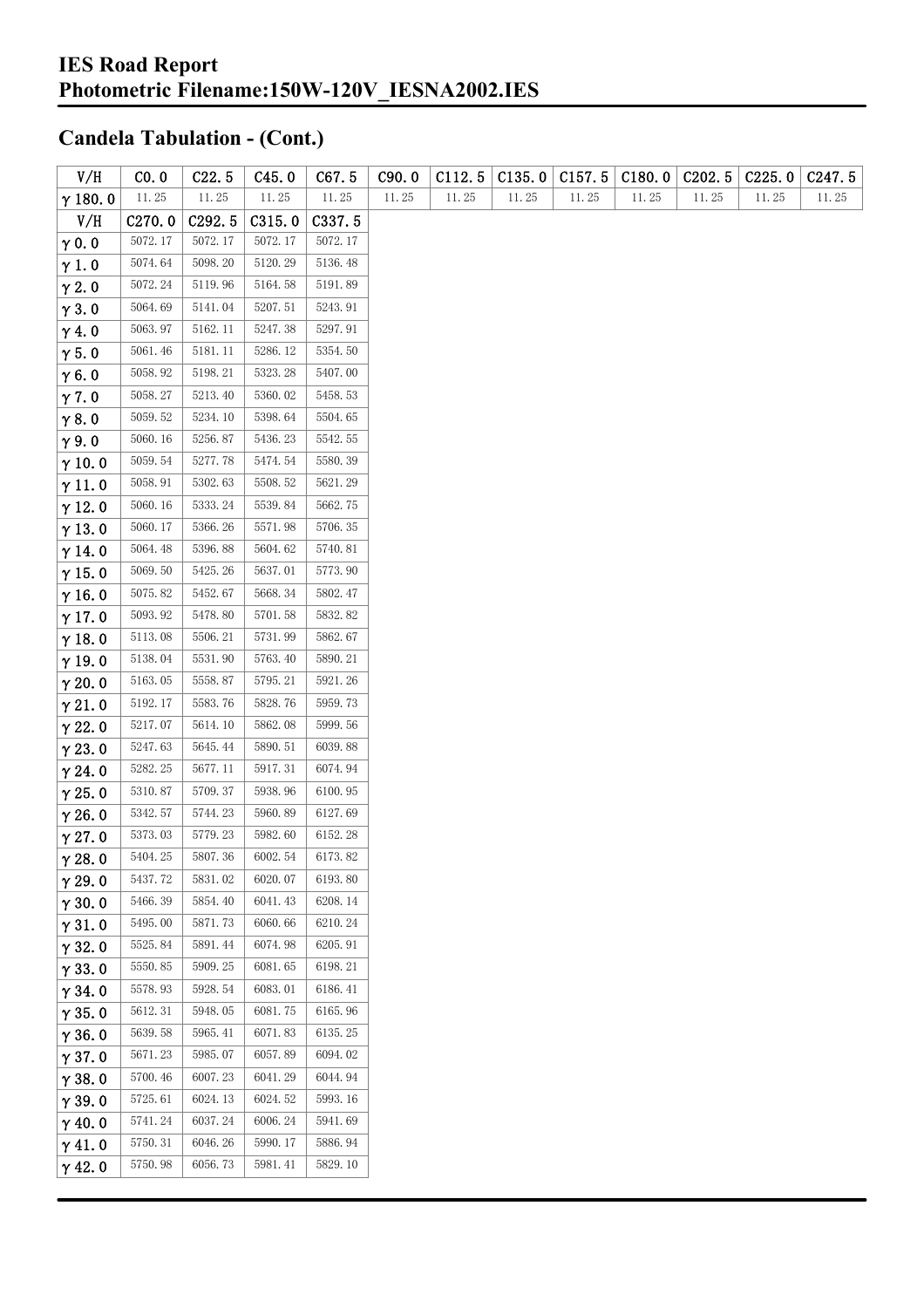| V/H            | CO.0    | C22.5   | C45.0   | C67.5   | C90.0 | C112.5 | C135.0 | C157.5 | C180.0 | C202.5 | C225.0 | C <sub>247.5</sub> |
|----------------|---------|---------|---------|---------|-------|--------|--------|--------|--------|--------|--------|--------------------|
| $\gamma$ 180.0 | 11.25   | 11.25   | 11.25   | 11.25   | 11.25 | 11.25  | 11.25  | 11.25  | 11.25  | 11.25  | 11.25  | 11.25              |
| V/H            | C270.0  | C292.5  | C315.0  | C337.5  |       |        |        |        |        |        |        |                    |
| $\gamma$ 0.0   | 5072.17 | 5072.17 | 5072.17 | 5072.17 |       |        |        |        |        |        |        |                    |
| $\gamma$ 1.0   | 5074.64 | 5098.20 | 5120.29 | 5136.48 |       |        |        |        |        |        |        |                    |
| $\gamma$ 2.0   | 5072.24 | 5119.96 | 5164.58 | 5191.89 |       |        |        |        |        |        |        |                    |
| $\gamma$ 3.0   | 5064.69 | 5141.04 | 5207.51 | 5243.91 |       |        |        |        |        |        |        |                    |
| $\gamma$ 4.0   | 5063.97 | 5162.11 | 5247.38 | 5297.91 |       |        |        |        |        |        |        |                    |
| $\gamma$ 5.0   | 5061.46 | 5181.11 | 5286.12 | 5354.50 |       |        |        |        |        |        |        |                    |
| $\gamma$ 6.0   | 5058.92 | 5198.21 | 5323.28 | 5407.00 |       |        |        |        |        |        |        |                    |
| $\gamma$ 7.0   | 5058.27 | 5213.40 | 5360.02 | 5458.53 |       |        |        |        |        |        |        |                    |
| $\gamma$ 8.0   | 5059.52 | 5234.10 | 5398.64 | 5504.65 |       |        |        |        |        |        |        |                    |
| $\gamma$ 9.0   | 5060.16 | 5256.87 | 5436.23 | 5542.55 |       |        |        |        |        |        |        |                    |
| $\gamma$ 10.0  | 5059.54 | 5277.78 | 5474.54 | 5580.39 |       |        |        |        |        |        |        |                    |
| $\gamma$ 11.0  | 5058.91 | 5302.63 | 5508.52 | 5621.29 |       |        |        |        |        |        |        |                    |
| $\gamma$ 12.0  | 5060.16 | 5333.24 | 5539.84 | 5662.75 |       |        |        |        |        |        |        |                    |
| $\gamma$ 13.0  | 5060.17 | 5366.26 | 5571.98 | 5706.35 |       |        |        |        |        |        |        |                    |
| $\gamma$ 14.0  | 5064.48 | 5396.88 | 5604.62 | 5740.81 |       |        |        |        |        |        |        |                    |
| $\gamma$ 15.0  | 5069.50 | 5425.26 | 5637.01 | 5773.90 |       |        |        |        |        |        |        |                    |
| $\gamma$ 16.0  | 5075.82 | 5452.67 | 5668.34 | 5802.47 |       |        |        |        |        |        |        |                    |
| $\gamma$ 17.0  | 5093.92 | 5478.80 | 5701.58 | 5832.82 |       |        |        |        |        |        |        |                    |
| $\gamma$ 18.0  | 5113.08 | 5506.21 | 5731.99 | 5862.67 |       |        |        |        |        |        |        |                    |
| $\gamma$ 19.0  | 5138.04 | 5531.90 | 5763.40 | 5890.21 |       |        |        |        |        |        |        |                    |
| $\gamma$ 20.0  | 5163.05 | 5558.87 | 5795.21 | 5921.26 |       |        |        |        |        |        |        |                    |
| $\gamma$ 21.0  | 5192.17 | 5583.76 | 5828.76 | 5959.73 |       |        |        |        |        |        |        |                    |
| $\gamma$ 22.0  | 5217.07 | 5614.10 | 5862.08 | 5999.56 |       |        |        |        |        |        |        |                    |
| $\gamma$ 23.0  | 5247.63 | 5645.44 | 5890.51 | 6039.88 |       |        |        |        |        |        |        |                    |
| $\gamma$ 24.0  | 5282.25 | 5677.11 | 5917.31 | 6074.94 |       |        |        |        |        |        |        |                    |
| $\gamma$ 25.0  | 5310.87 | 5709.37 | 5938.96 | 6100.95 |       |        |        |        |        |        |        |                    |
| $\gamma$ 26.0  | 5342.57 | 5744.23 | 5960.89 | 6127.69 |       |        |        |        |        |        |        |                    |
| $\gamma$ 27.0  | 5373.03 | 5779.23 | 5982.60 | 6152.28 |       |        |        |        |        |        |        |                    |
| $\gamma$ 28.0  | 5404.25 | 5807.36 | 6002.54 | 6173.82 |       |        |        |        |        |        |        |                    |
| $\gamma$ 29.0  | 5437.72 | 5831.02 | 6020.07 | 6193.80 |       |        |        |        |        |        |        |                    |
| $\gamma$ 30.0  | 5466.39 | 5854.40 | 6041.43 | 6208.14 |       |        |        |        |        |        |        |                    |
| $\gamma$ 31.0  | 5495.00 | 5871.73 | 6060.66 | 6210.24 |       |        |        |        |        |        |        |                    |
| $\gamma$ 32.0  | 5525.84 | 5891.44 | 6074.98 | 6205.91 |       |        |        |        |        |        |        |                    |
| $\gamma$ 33.0  | 5550.85 | 5909.25 | 6081.65 | 6198.21 |       |        |        |        |        |        |        |                    |
| $\gamma$ 34.0  | 5578.93 | 5928.54 | 6083.01 | 6186.41 |       |        |        |        |        |        |        |                    |
| $\gamma$ 35.0  | 5612.31 | 5948.05 | 6081.75 | 6165.96 |       |        |        |        |        |        |        |                    |
| $\gamma$ 36.0  | 5639.58 | 5965.41 | 6071.83 | 6135.25 |       |        |        |        |        |        |        |                    |
| $\gamma$ 37.0  | 5671.23 | 5985.07 | 6057.89 | 6094.02 |       |        |        |        |        |        |        |                    |
| $\gamma$ 38.0  | 5700.46 | 6007.23 | 6041.29 | 6044.94 |       |        |        |        |        |        |        |                    |
| $\gamma$ 39.0  | 5725.61 | 6024.13 | 6024.52 | 5993.16 |       |        |        |        |        |        |        |                    |
| $\gamma$ 40.0  | 5741.24 | 6037.24 | 6006.24 | 5941.69 |       |        |        |        |        |        |        |                    |
| $\gamma$ 41.0  | 5750.31 | 6046.26 | 5990.17 | 5886.94 |       |        |        |        |        |        |        |                    |
| $\gamma$ 42.0  | 5750.98 | 6056.73 | 5981.41 | 5829.10 |       |        |        |        |        |        |        |                    |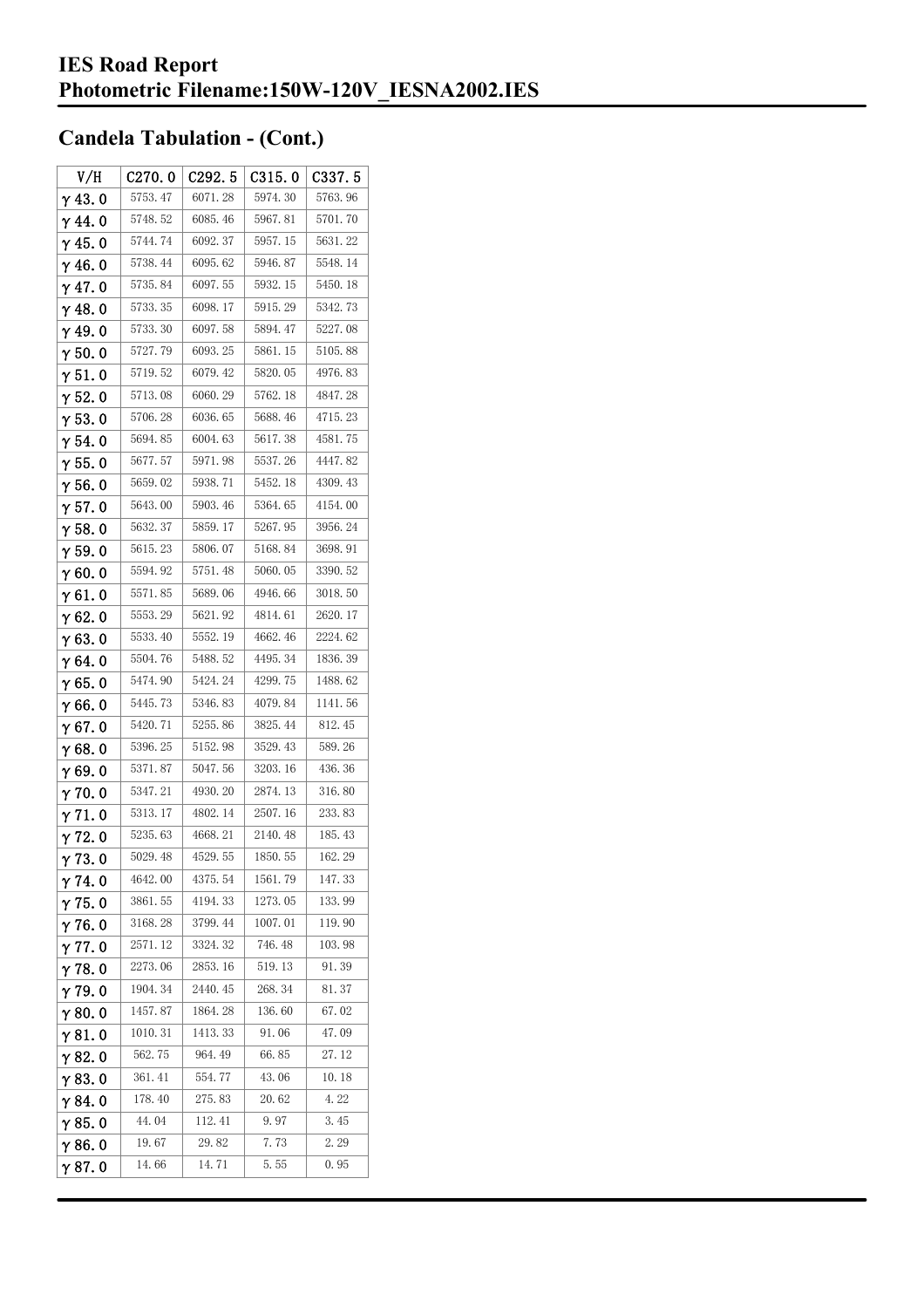| V/H            | C270.0  | C <sub>292.5</sub> | C315.0  | C337.5  |
|----------------|---------|--------------------|---------|---------|
| $\gamma$ 43.0  | 5753.47 | 6071.28            | 5974.30 | 5763.96 |
| $\gamma$ 44.0  | 5748.52 | 6085.46            | 5967.81 | 5701.70 |
| $\gamma$ 45. 0 | 5744.74 | 6092.37            | 5957.15 | 5631.22 |
| $\gamma$ 46. 0 | 5738.44 | 6095.62            | 5946.87 | 5548.14 |
| $\gamma$ 47.0  | 5735.84 | 6097.55            | 5932.15 | 5450.18 |
| $\gamma$ 48.0  | 5733.35 | 6098.17            | 5915.29 | 5342.73 |
| $\gamma$ 49.0  | 5733.30 | 6097.58            | 5894.47 | 5227.08 |
| $\gamma$ 50.0  | 5727.79 | 6093.25            | 5861.15 | 5105.88 |
| $\gamma$ 51.0  | 5719.52 | 6079.42            | 5820.05 | 4976.83 |
| $\gamma$ 52.0  | 5713.08 | 6060.29            | 5762.18 | 4847.28 |
| $\gamma$ 53.0  | 5706.28 | 6036.65            | 5688.46 | 4715.23 |
| $\gamma$ 54.0  | 5694.85 | 6004.63            | 5617.38 | 4581.75 |
| $\gamma$ 55.0  | 5677.57 | 5971.98            | 5537.26 | 4447.82 |
| $\gamma$ 56. 0 | 5659.02 | 5938.71            | 5452.18 | 4309.43 |
| $\gamma$ 57.0  | 5643.00 | 5903.46            | 5364.65 | 4154.00 |
| $\gamma$ 58.0  | 5632.37 | 5859.17            | 5267.95 | 3956.24 |
| $\gamma$ 59.0  | 5615.23 | 5806.07            | 5168.84 | 3698.91 |
| $\gamma$ 60.0  | 5594.92 | 5751.48            | 5060.05 | 3390.52 |
| $\gamma$ 61.0  | 5571.85 | 5689.06            | 4946.66 | 3018.50 |
| $\gamma$ 62.0  | 5553.29 | 5621.92            | 4814.61 | 2620.17 |
| $\gamma$ 63. 0 | 5533.40 | 5552.19            | 4662.46 | 2224.62 |
| $\gamma$ 64.0  | 5504.76 | 5488.52            | 4495.34 | 1836.39 |
| $\gamma$ 65.0  | 5474.90 | 5424.24            | 4299.75 | 1488.62 |
| $\gamma$ 66.0  | 5445.73 | 5346.83            | 4079.84 | 1141.56 |
| $\gamma$ 67. 0 | 5420.71 | 5255.86            | 3825.44 | 812.45  |
| $\gamma$ 68.0  | 5396.25 | 5152.98            | 3529.43 | 589.26  |
| $\gamma$ 69.0  | 5371.87 | 5047.56            | 3203.16 | 436.36  |
| $\gamma$ 70.0  | 5347.21 | 4930.20            | 2874.13 | 316.80  |
| $\gamma$ 71.0  | 5313.17 | 4802.14            | 2507.16 | 233.83  |
| $\gamma$ 72.0  | 5235.63 | 4668.21            | 2140.48 | 185.43  |
| $\gamma$ 73.0  | 5029.48 | 4529.55            | 1850.55 | 162.29  |
| $\gamma$ 74. 0 | 4642.00 | 4375.54            | 1561.79 | 147.33  |
| $\gamma$ 75.0  | 3861.55 | 4194.33            | 1273.05 | 133.99  |
| $\gamma$ 76.0  | 3168.28 | 3799.44            | 1007.01 | 119.90  |
| $\gamma$ 77.0  | 2571.12 | 3324.32            | 746.48  | 103.98  |
| $\gamma$ 78.0  | 2273.06 | 2853.16            | 519.13  | 91.39   |
| $\gamma$ 79.0  | 1904.34 | 2440.45            | 268.34  | 81.37   |
| $\gamma$ 80.0  | 1457.87 | 1864.28            | 136.60  | 67.02   |
| $\gamma$ 81. 0 | 1010.31 | 1413.33            | 91.06   | 47.09   |
| $\gamma$ 82.0  | 562.75  | 964.49             | 66.85   | 27.12   |
| $\gamma$ 83.0  | 361.41  | 554.77             | 43.06   | 10.18   |
| $\gamma$ 84.0  | 178.40  | 275.83             | 20.62   | 4.22    |
| $\gamma$ 85.0  | 44.04   | 112.41             | 9.97    | 3.45    |
| $\gamma$ 86.0  | 19.67   | 29.82              | 7.73    | 2.29    |
| γ87.0          | 14.66   | 14.71              | 5.55    | 0.95    |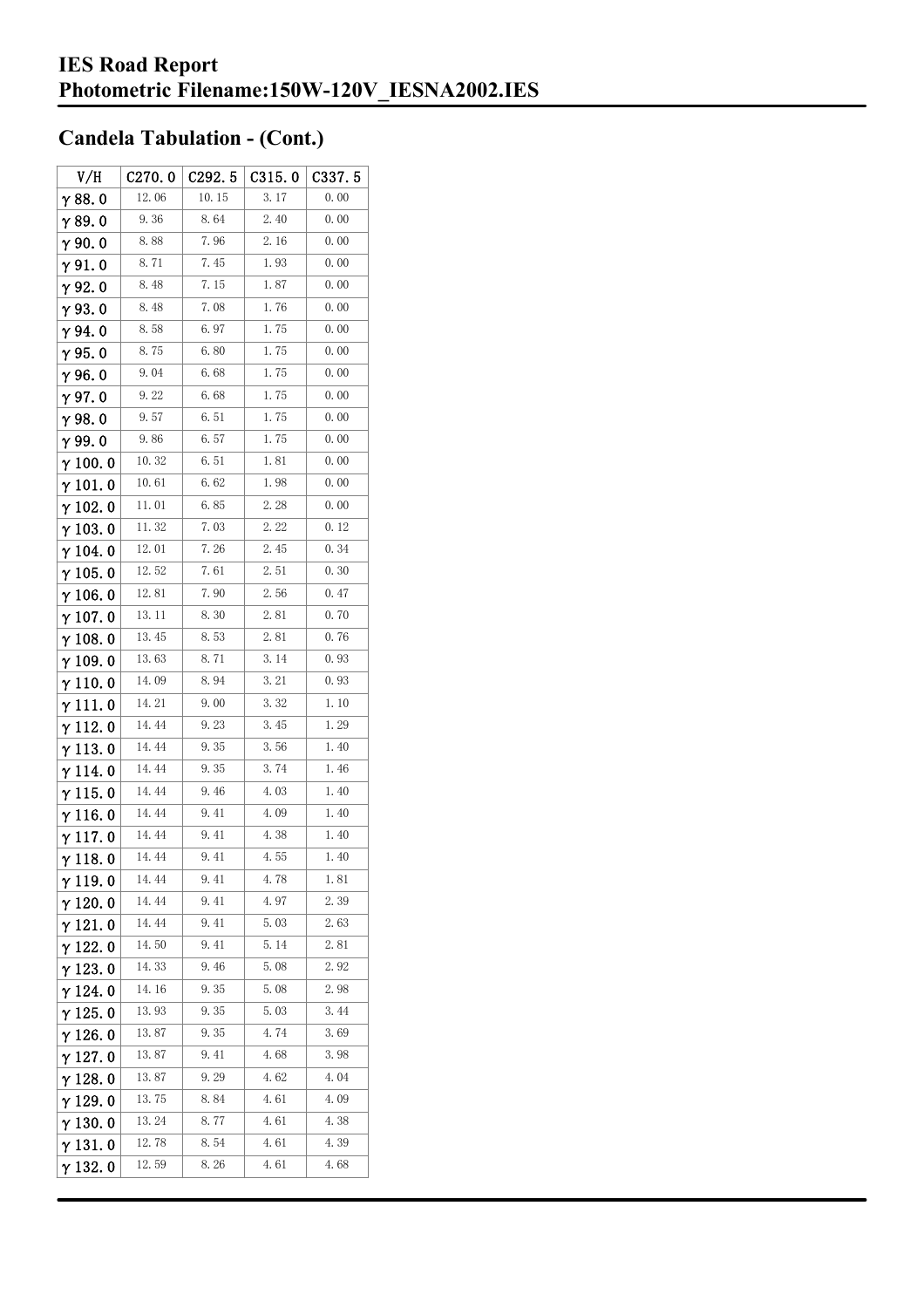| V/H             | C270.0 | C292.5 | C315.0 | C337.5 |
|-----------------|--------|--------|--------|--------|
| $\gamma$ 88.0   | 12.06  | 10.15  | 3.17   | 0.00   |
| γ89.0           | 9.36   | 8.64   | 2.40   | 0.00   |
| $\gamma$ 90. 0  | 8.88   | 7.96   | 2.16   | 0.00   |
| $\gamma$ 91.0   | 8.71   | 7.45   | 1.93   | 0.00   |
| γ92.0           | 8.48   | 7.15   | 1.87   | 0.00   |
| $\gamma$ 93. O  | 8.48   | 7.08   | 1.76   | 0.00   |
| $\gamma$ 94.0   | 8.58   | 6.97   | 1.75   | 0.00   |
| $\gamma$ 95.0   | 8.75   | 6.80   | 1.75   | 0.00   |
| γ96.0           | 9.04   | 6. 68  | 1.75   | 0.00   |
| $\gamma$ 97. 0  | 9.22   | 6.68   | 1.75   | 0.00   |
| $\gamma$ 98.0   | 9.57   | 6.51   | 1.75   | 0.00   |
| γ99.0           | 9.86   | 6.57   | 1.75   | 0.00   |
| $\gamma$ 100.0  | 10.32  | 6.51   | 1.81   | 0.00   |
| $\gamma$ 101. 0 | 10.61  | 6. 62  | 1.98   | 0.00   |
| $\gamma$ 102.0  | 11.01  | 6.85   | 2.28   | 0.00   |
| $\gamma$ 103. 0 | 11.32  | 7.03   | 2.22   | 0.12   |
| γ 104. 0        | 12.01  | 7.26   | 2.45   | 0.34   |
| $\gamma$ 105. 0 | 12.52  | 7.61   | 2.51   | 0.30   |
| $\gamma$ 106.0  | 12.81  | 7.90   | 2.56   | 0.47   |
| $\gamma$ 107. 0 | 13.11  | 8.30   | 2.81   | 0.70   |
| $\gamma$ 108. 0 | 13.45  | 8.53   | 2.81   | 0.76   |
| $\gamma$ 109.0  | 13.63  | 8. 71  | 3.14   | 0.93   |
| $\gamma$ 110. 0 | 14.09  | 8.94   | 3.21   | 0.93   |
| γ111.0          | 14. 21 | 9.00   | 3.32   | 1.10   |
| $\gamma$ 112. 0 | 14.44  | 9.23   | 3.45   | 1.29   |
| $\gamma$ 113. 0 | 14.44  | 9.35   | 3.56   | 1.40   |
| γ 114. 0        | 14.44  | 9.35   | 3.74   | 1.46   |
| $\gamma$ 115.0  | 14.44  | 9.46   | 4.03   | 1.40   |
| $\gamma$ 116.0  | 14.44  | 9.41   | 4.09   | 1.40   |
| $\gamma$ 117. 0 | 14.44  | 9.41   | 4.38   | 1.40   |
| $\gamma$ 118. 0 | 14. 44 | 9. 41  | 4.55   | 1.40   |
| γ119.0          | 14.44  | 9.41   | 4.78   | 1.81   |
| $\gamma$ 120.0  | 14.44  | 9.41   | 4.97   | 2. 39  |
| $\gamma$ 121.0  | 14.44  | 9.41   | 5.03   | 2.63   |
| $\gamma$ 122. 0 | 14.50  | 9.41   | 5.14   | 2.81   |
| $\gamma$ 123.0  | 14.33  | 9.46   | 5.08   | 2. 92  |
| γ 124. 0        | 14.16  | 9.35   | 5.08   | 2.98   |
| $\gamma$ 125.0  | 13.93  | 9.35   | 5.03   | 3.44   |
| γ 126. 0        | 13.87  | 9.35   | 4.74   | 3.69   |
| $\gamma$ 127. 0 | 13.87  | 9.41   | 4.68   | 3.98   |
| $\gamma$ 128. 0 | 13.87  | 9.29   | 4.62   | 4.04   |
| $\gamma$ 129. 0 | 13.75  | 8.84   | 4.61   | 4.09   |
| $\gamma$ 130. 0 | 13.24  | 8.77   | 4.61   | 4.38   |
| $\gamma$ 131.0  | 12.78  | 8.54   | 4.61   | 4.39   |
| $\gamma$ 132. 0 | 12.59  | 8.26   | 4.61   | 4.68   |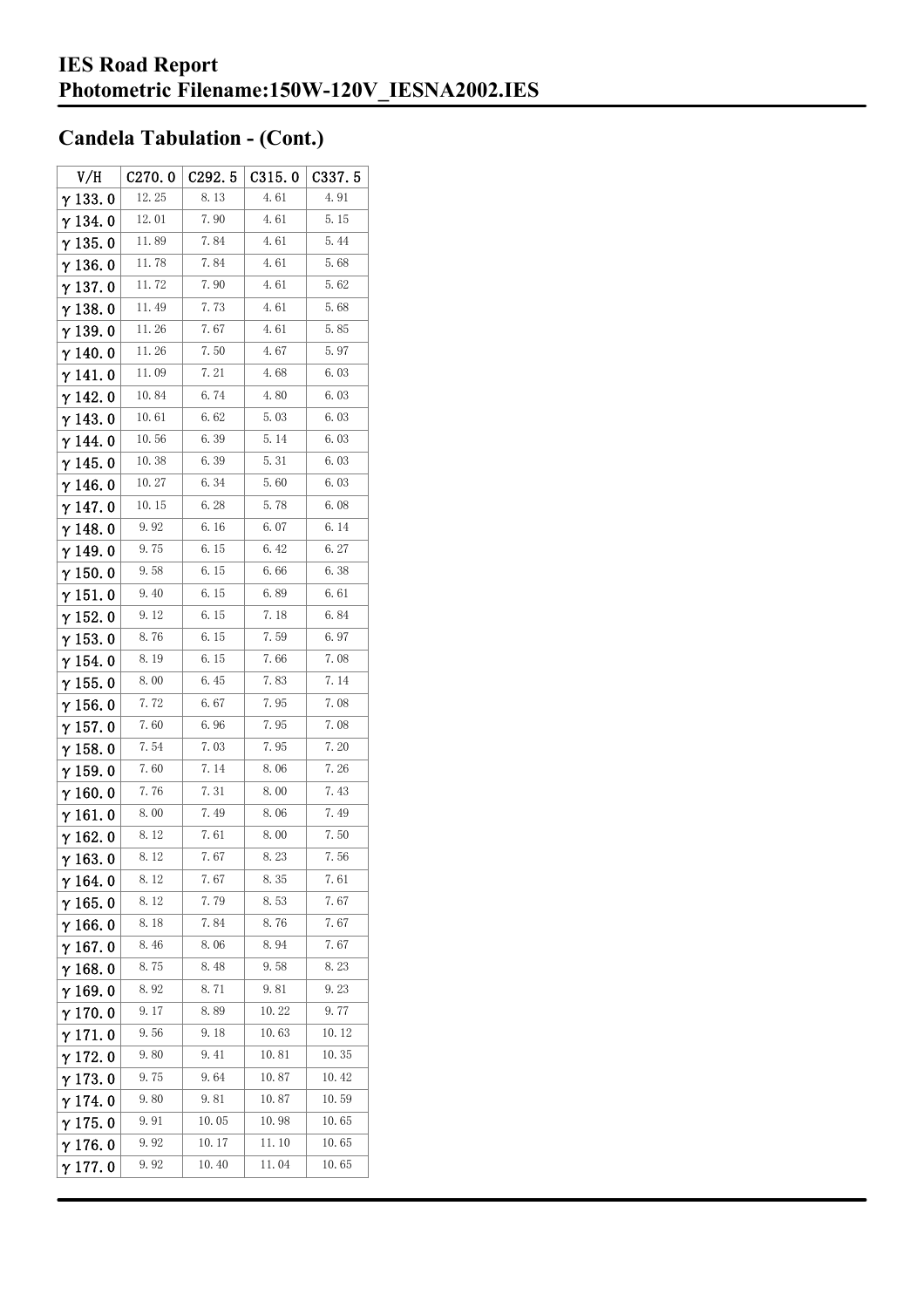| V/H             | C270.0 | C292.5 | C315.0 | C337.5 |
|-----------------|--------|--------|--------|--------|
| $\gamma$ 133.0  | 12.25  | 8.13   | 4.61   | 4.91   |
| $\gamma$ 134.0  | 12.01  | 7.90   | 4.61   | 5.15   |
| $\gamma$ 135. 0 | 11.89  | 7.84   | 4.61   | 5.44   |
| γ136.0          | 11.78  | 7.84   | 4.61   | 5.68   |
| $\gamma$ 137.0  | 11.72  | 7.90   | 4.61   | 5.62   |
| $\gamma$ 138. 0 | 11.49  | 7.73   | 4.61   | 5.68   |
| γ139.0          | 11.26  | 7.67   | 4.61   | 5.85   |
| $\gamma$ 140. 0 | 11.26  | 7.50   | 4.67   | 5.97   |
| $\gamma$ 141.0  | 11.09  | 7.21   | 4.68   | 6.03   |
| $\gamma$ 142.0  | 10.84  | 6.74   | 4.80   | 6.03   |
| γ143.0          | 10.61  | 6.62   | 5.03   | 6.03   |
| γ 144. 0        | 10.56  | 6.39   | 5.14   | 6.03   |
| $\gamma$ 145. 0 | 10.38  | 6.39   | 5.31   | 6.03   |
| $\gamma$ 146.0  | 10.27  | 6.34   | 5.60   | 6.03   |
| γ147.0          | 10.15  | 6.28   | 5.78   | 6.08   |
| $\gamma$ 148.0  | 9.92   | 6.16   | 6.07   | 6. 14  |
| $\gamma$ 149.0  | 9.75   | 6.15   | 6.42   | 6.27   |
| $\gamma$ 150.0  | 9.58   | 6.15   | 6.66   | 6.38   |
| $\gamma$ 151.0  | 9.40   | 6.15   | 6.89   | 6.61   |
| $\gamma$ 152. 0 | 9.12   | 6.15   | 7.18   | 6.84   |
| $\gamma$ 153. 0 | 8.76   | 6.15   | 7.59   | 6.97   |
| γ 154. 0        | 8.19   | 6.15   | 7.66   | 7.08   |
| $\gamma$ 155. 0 | 8.00   | 6.45   | 7.83   | 7.14   |
| $\gamma$ 156. 0 | 7.72   | 6.67   | 7.95   | 7.08   |
| $\gamma$ 157. 0 | 7.60   | 6.96   | 7.95   | 7.08   |
| $\gamma$ 158. 0 | 7.54   | 7.03   | 7.95   | 7.20   |
| $\gamma$ 159.0  | 7.60   | 7.14   | 8.06   | 7.26   |
| $\gamma$ 160.0  | 7.76   | 7.31   | 8.00   | 7.43   |
| $\gamma$ 161. 0 | 8.00   | 7.49   | 8.06   | 7.49   |
| $\gamma$ 162.0  | 8.12   | 7.61   | 8.00   | 7.50   |
| $\gamma$ 163.0  | 8.12   | 7.67   | 8.23   | 7.56   |
| $\gamma$ 164. 0 | 8. 12  | 7.67   | 8.35   | 7.61   |
| $\gamma$ 165. 0 | 8.12   | 7.79   | 8.53   | 7.67   |
| $\gamma$ 166.0  | 8.18   | 7.84   | 8.76   | 7.67   |
| $\gamma$ 167.0  | 8.46   | 8.06   | 8.94   | 7.67   |
| $\gamma$ 168.0  | 8.75   | 8.48   | 9.58   | 8.23   |
| $\gamma$ 169.0  | 8.92   | 8.71   | 9.81   | 9.23   |
| $\gamma$ 170.0  | 9.17   | 8.89   | 10.22  | 9.77   |
| $\gamma$ 171. 0 | 9.56   | 9.18   | 10.63  | 10.12  |
| $\gamma$ 172. 0 | 9.80   | 9.41   | 10.81  | 10.35  |
| $\gamma$ 173.0  | 9.75   | 9.64   | 10.87  | 10.42  |
| $\gamma$ 174.0  | 9.80   | 9.81   | 10.87  | 10.59  |
| $\gamma$ 175. 0 | 9.91   | 10.05  | 10.98  | 10.65  |
| $\gamma$ 176.0  | 9.92   | 10.17  | 11.10  | 10.65  |
| γ177.0          | 9.92   | 10.40  | 11.04  | 10.65  |